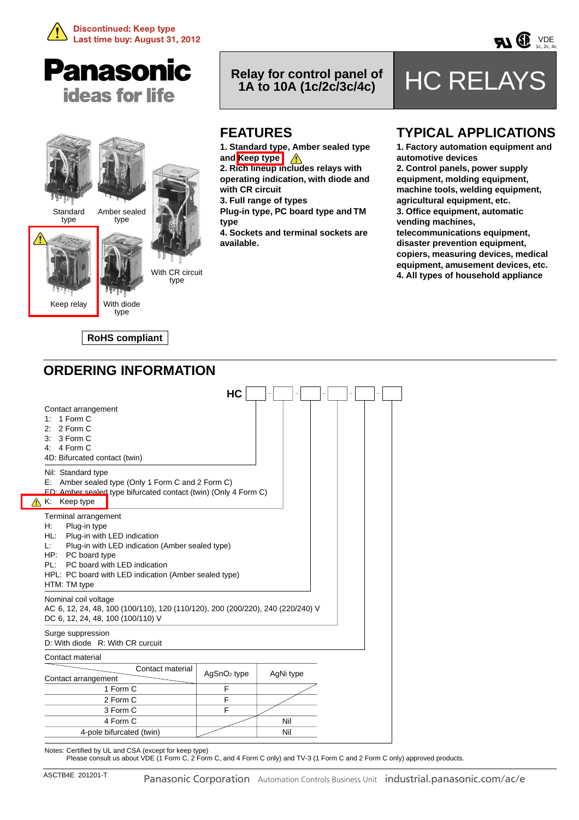





# **Relay for control panel of**

# **HC RELAYS**

 $VDE$ <br>1c, 2c, 4c

### **FEATURES**

**1. Standard type, Amber sealed type and Keep type**

**2. Rich lineup includes relays with operating indication, with diode and with CR circuit**

**3. Full range of types**

**Plug-in type, PC board type and TM type**

**4. Sockets and terminal sockets are available.**

### **TYPICAL APPLICATIONS**

**1. Factory automation equipment and automotive devices 2. Control panels, power supply equipment, molding equipment, machine tools, welding equipment, agricultural equipment, etc. 3. Office equipment, automatic vending machines, telecommunications equipment,** 

**disaster prevention equipment, copiers, measuring devices, medical equipment, amusement devices, etc. 4. All types of household appliance**

### **ORDERING INFORMATION**

**RoHS compliant**

|                                                                                                                                                                                                                                                                                   | HC                      |           |  |  |
|-----------------------------------------------------------------------------------------------------------------------------------------------------------------------------------------------------------------------------------------------------------------------------------|-------------------------|-----------|--|--|
| Contact arrangement<br>1 Form C<br>1:<br>2 Form C<br>21<br>3 Form C<br>З.<br>4: $4$ Form C<br>4D: Bifurcated contact (twin)                                                                                                                                                       |                         |           |  |  |
| Nil: Standard type<br>E: Amber sealed type (Only 1 Form C and 2 Form C)<br>FD: Amber sealed type bifurcated contact (twin) (Only 4 Form C)<br>Keep type<br>Κ.                                                                                                                     |                         |           |  |  |
| Terminal arrangement<br>Н:<br>Plug-in type<br>HL:<br>Plug-in with LED indication<br>Plug-in with LED indication (Amber sealed type)<br>Ŀ.<br>PC board type<br>HP:<br>PC board with LED indication<br>PL:<br>HPL: PC board with LED indication (Amber sealed type)<br>HTM: TM type |                         |           |  |  |
| Nominal coil voltage<br>AC 6, 12, 24, 48, 100 (100/110), 120 (110/120), 200 (200/220), 240 (220/240) V<br>DC 6, 12, 24, 48, 100 (100/110) V                                                                                                                                       |                         |           |  |  |
| Surge suppression<br>D: With diode R: With CR curcuit                                                                                                                                                                                                                             |                         |           |  |  |
| Contact material                                                                                                                                                                                                                                                                  |                         |           |  |  |
| Contact material<br>Contact arrangement                                                                                                                                                                                                                                           | AgSnO <sub>2</sub> type | AgNi type |  |  |
| 1 Form C                                                                                                                                                                                                                                                                          | F                       |           |  |  |
| 2 Form C                                                                                                                                                                                                                                                                          | F                       |           |  |  |
| 3 Form C                                                                                                                                                                                                                                                                          | F                       |           |  |  |
| 4 Form C                                                                                                                                                                                                                                                                          |                         | Nil       |  |  |
| 4-pole bifurcated (twin)                                                                                                                                                                                                                                                          |                         | Nil       |  |  |

Notes: Certified by UL and CSA (except for keep type)

Please consult us about VDE (1 Form C, 2 Form C, and 4 Form C only) and TV-3 (1 Form C and 2 Form C only) approved products.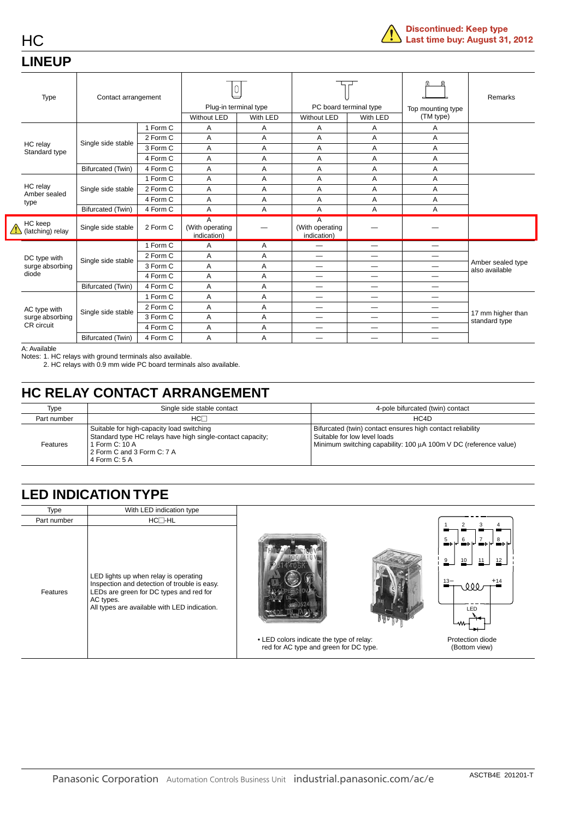### **LINEUP**

HC

|                                  | Type                        | Contact arrangement      |          | Plug-in terminal type<br>With LED<br><b>Without LED</b> |   | PC board terminal type<br>Without LED<br>With LED |                          | Top mounting type<br>(TM type) | Remarks                             |
|----------------------------------|-----------------------------|--------------------------|----------|---------------------------------------------------------|---|---------------------------------------------------|--------------------------|--------------------------------|-------------------------------------|
|                                  |                             |                          | 1 Form C | A                                                       | Α | A                                                 | Α                        | A                              |                                     |
|                                  |                             |                          | 2 Form C | A                                                       | A | A                                                 | A                        | A                              |                                     |
|                                  | HC relay                    | Single side stable       | 3 Form C | A                                                       | A | A                                                 | A                        | A                              |                                     |
|                                  | Standard type               |                          | 4 Form C | A                                                       | Α | A                                                 | A                        | Α                              |                                     |
|                                  |                             | Bifurcated (Twin)        | 4 Form C | A                                                       | A | A                                                 | A                        | A                              |                                     |
|                                  |                             |                          | 1 Form C | A                                                       | A | A                                                 | A                        | Α                              |                                     |
| HC relay<br>Amber sealed<br>type | Single side stable          | 2 Form C                 | Α        | Α                                                       | Α | A                                                 | Α                        |                                |                                     |
|                                  |                             | 4 Form C                 | Α        | Α                                                       | Α | Α                                                 | Α                        |                                |                                     |
|                                  |                             | Bifurcated (Twin)        | 4 Form C | A                                                       | A | A                                                 | A                        | A                              |                                     |
|                                  | HC keep<br>(latching) relay | Single side stable       | 2 Form C | A<br>(With operating<br>indication)                     |   | A<br>(With operating<br>indication)               |                          |                                |                                     |
|                                  |                             |                          | 1 Form C | Α                                                       | Α |                                                   | $\overline{\phantom{0}}$ | $\overline{\phantom{0}}$       |                                     |
|                                  | DC type with                |                          | 2 Form C | Α                                                       | Α |                                                   |                          |                                |                                     |
|                                  | surge absorbing             | Single side stable       | 3 Form C | A                                                       | Α | —                                                 | —                        |                                | Amber sealed type<br>also available |
|                                  | diode                       |                          | 4 Form C | Α                                                       | Α |                                                   |                          |                                |                                     |
|                                  |                             | Bifurcated (Twin)        | 4 Form C | Α                                                       | Α | —                                                 |                          | —                              |                                     |
|                                  |                             |                          | 1 Form C | A                                                       | A | —                                                 |                          | —                              |                                     |
|                                  | AC type with                | Single side stable       | 2 Form C | A                                                       | A | —                                                 |                          |                                |                                     |
|                                  | surge absorbing             |                          | 3 Form C | A                                                       | A | —                                                 | $\overline{\phantom{m}}$ |                                | 17 mm higher than<br>standard type  |
|                                  | CR circuit                  |                          | 4 Form C | Α                                                       | Α |                                                   |                          |                                |                                     |
|                                  |                             | <b>Bifurcated (Twin)</b> | 4 Form C | A                                                       | A |                                                   |                          |                                |                                     |

A: Available

Notes: 1. HC relays with ground terminals also available.

2. HC relays with 0.9 mm wide PC board terminals also available.

### **HC RELAY CONTACT ARRANGEMENT**

| Type        | Single side stable contact                                                                                                                                                | 4-pole bifurcated (twin) contact                                                                                                                               |
|-------------|---------------------------------------------------------------------------------------------------------------------------------------------------------------------------|----------------------------------------------------------------------------------------------------------------------------------------------------------------|
| Part number | $HC^-$                                                                                                                                                                    | HC4D                                                                                                                                                           |
| Features    | Suitable for high-capacity load switching<br>Standard type HC relays have high single-contact capacity;<br>1 Form C: 10 A<br>2 Form C and 3 Form C: 7 A<br>4 Form $C: 5A$ | Bifurcated (twin) contact ensures high contact reliability<br>Suitable for low level loads<br>Minimum switching capability: 100 µA 100m V DC (reference value) |

### **LED INDICATION TYPE**

| Type        | With LED indication type                                                                                                                                                                      |                                                                                    |                                                                                                          |
|-------------|-----------------------------------------------------------------------------------------------------------------------------------------------------------------------------------------------|------------------------------------------------------------------------------------|----------------------------------------------------------------------------------------------------------|
| Part number | $HC \Box$ -HL                                                                                                                                                                                 |                                                                                    |                                                                                                          |
| Features    | LED lights up when relay is operating<br>Inspection and detection of trouble is easy.<br>LEDs are green for DC types and red for<br>AC types.<br>All types are available with LED indication. | • LED colors indicate the type of relay:<br>red for AC type and green for DC type. | ╶ <u>╝</u> ╺┝┞┙╝╝╒┞╷<br>9<br>10<br>11<br>12<br>$13 -$<br>000<br>LED<br>Protection diode<br>(Bottom view) |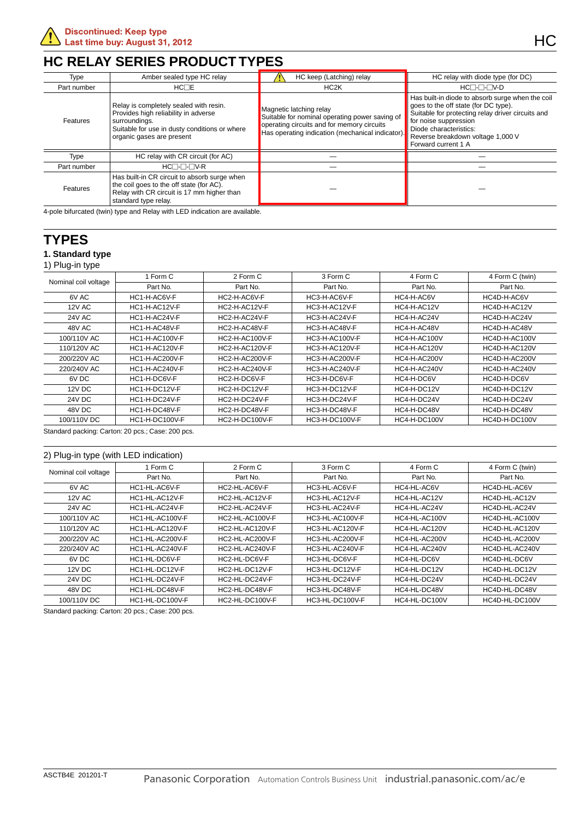### **HC RELAY SERIES PRODUCT TYPES**

| Type        | Amber sealed type HC relay                                                                                                                                                    | HC keep (Latching) relay                                                                                                                                                    | HC relay with diode type (for DC)                                                                                                                                                                                                                            |
|-------------|-------------------------------------------------------------------------------------------------------------------------------------------------------------------------------|-----------------------------------------------------------------------------------------------------------------------------------------------------------------------------|--------------------------------------------------------------------------------------------------------------------------------------------------------------------------------------------------------------------------------------------------------------|
| Part number | HC <sub>TE</sub>                                                                                                                                                              | HC <sub>2</sub> K                                                                                                                                                           | HC <sub>-</sub> ---                                                                                                                                                                                                                                          |
| Features    | Relay is completely sealed with resin.<br>Provides high reliability in adverse<br>surroundings.<br>Suitable for use in dusty conditions or where<br>organic gases are present | Magnetic latching relay<br>Suitable for nominal operating power saving of<br>operating circuits and for memory circuits<br>Has operating indication (mechanical indicator). | Has built-in diode to absorb surge when the coil<br>goes to the off state (for DC type).<br>Suitable for protecting relay driver circuits and<br>for noise suppression<br>Diode characteristics:<br>Reverse breakdown voltage 1,000 V<br>Forward current 1 A |
| Type        | HC relay with CR circuit (for AC)                                                                                                                                             |                                                                                                                                                                             |                                                                                                                                                                                                                                                              |
| Part number | HC <sub>-</sub> ---                                                                                                                                                           |                                                                                                                                                                             |                                                                                                                                                                                                                                                              |
| Features    | Has built-in CR circuit to absorb surge when<br>the coil goes to the off state (for AC).<br>Relay with CR circuit is 17 mm higher than<br>standard type relay.                |                                                                                                                                                                             |                                                                                                                                                                                                                                                              |
|             | 4-nole bifurcated (twin) type and Relay with LED indication are available                                                                                                     |                                                                                                                                                                             |                                                                                                                                                                                                                                                              |

d (twin) type and Re

### **TYPES**

#### **1. Standard type**

1) Plug-in type

| . .                  |                       |                       |                       |                     |                 |
|----------------------|-----------------------|-----------------------|-----------------------|---------------------|-----------------|
| Nominal coil voltage | 1 Form C              | 2 Form C              | 3 Form C              | 4 Form C            | 4 Form C (twin) |
|                      | Part No.              | Part No.              | Part No.              | Part No.            | Part No.        |
| 6V AC                | HC1-H-AC6V-F          | HC2-H-AC6V-F          | HC3-H-AC6V-F          | HC4-H-AC6V          | HC4D-H-AC6V     |
| <b>12V AC</b>        | HC1-H-AC12V-F         | HC2-H-AC12V-F         | HC3-H-AC12V-F         | HC4-H-AC12V         | HC4D-H-AC12V    |
| <b>24V AC</b>        | HC1-H-AC24V-F         | HC2-H-AC24V-F         | HC3-H-AC24V-F         | HC4-H-AC24V         | HC4D-H-AC24V    |
| 48V AC               | HC1-H-AC48V-F         | HC2-H-AC48V-F         | HC3-H-AC48V-F         | HC4-H-AC48V         | HC4D-H-AC48V    |
| 100/110V AC          | <b>HC1-H-AC100V-F</b> | <b>HC2-H-AC100V-F</b> | <b>HC3-H-AC100V-F</b> | <b>HC4-H-AC100V</b> | HC4D-H-AC100V   |
| 110/120V AC          | <b>HC1-H-AC120V-F</b> | <b>HC2-H-AC120V-F</b> | <b>HC3-H-AC120V-F</b> | <b>HC4-H-AC120V</b> | HC4D-H-AC120V   |
| 200/220V AC          | <b>HC1-H-AC200V-F</b> | <b>HC2-H-AC200V-F</b> | HC3-H-AC200V-F        | HC4-H-AC200V        | HC4D-H-AC200V   |
| 220/240V AC          | <b>HC1-H-AC240V-F</b> | <b>HC2-H-AC240V-F</b> | <b>HC3-H-AC240V-F</b> | HC4-H-AC240V        | HC4D-H-AC240V   |
| 6V DC                | HC1-H-DC6V-F          | HC2-H-DC6V-F          | HC3-H-DC6V-F          | HC4-H-DC6V          | HC4D-H-DC6V     |
| 12V DC               | HC1-H-DC12V-F         | HC2-H-DC12V-F         | HC3-H-DC12V-F         | HC4-H-DC12V         | HC4D-H-DC12V    |
| <b>24V DC</b>        | HC1-H-DC24V-F         | HC2-H-DC24V-F         | HC3-H-DC24V-F         | HC4-H-DC24V         | HC4D-H-DC24V    |
| 48V DC               | HC1-H-DC48V-F         | HC2-H-DC48V-F         | HC3-H-DC48V-F         | HC4-H-DC48V         | HC4D-H-DC48V    |
| 100/110V DC          | <b>HC1-H-DC100V-F</b> | <b>HC2-H-DC100V-F</b> | <b>HC3-H-DC100V-F</b> | HC4-H-DC100V        | HC4D-H-DC100V   |
|                      |                       |                       |                       |                     |                 |

Standard packing: Carton: 20 pcs.; Case: 200 pcs.

| 2) Plug-in type (with LED indication) |                 |                 |                 |               |                 |
|---------------------------------------|-----------------|-----------------|-----------------|---------------|-----------------|
| Nominal coil voltage                  | 1 Form C        | 2 Form C        | 3 Form C        | 4 Form C      | 4 Form C (twin) |
|                                       | Part No.        | Part No.        | Part No.        | Part No.      | Part No.        |
| 6V AC                                 | HC1-HL-AC6V-F   | HC2-HL-AC6V-F   | HC3-HL-AC6V-F   | HC4-HL-AC6V   | HC4D-HL-AC6V    |
| <b>12V AC</b>                         | HC1-HL-AC12V-F  | HC2-HL-AC12V-F  | HC3-HL-AC12V-F  | HC4-HL-AC12V  | HC4D-HL-AC12V   |
| 24V AC                                | HC1-HL-AC24V-F  | HC2-HL-AC24V-F  | HC3-HL-AC24V-F  | HC4-HL-AC24V  | HC4D-HL-AC24V   |
| 100/110V AC                           | HC1-HL-AC100V-F | HC2-HL-AC100V-F | HC3-HL-AC100V-F | HC4-HL-AC100V | HC4D-HL-AC100V  |
| 110/120V AC                           | HC1-HL-AC120V-F | HC2-HL-AC120V-F | HC3-HL-AC120V-F | HC4-HL-AC120V | HC4D-HL-AC120V  |
| 200/220V AC                           | HC1-HL-AC200V-F | HC2-HL-AC200V-F | HC3-HL-AC200V-F | HC4-HL-AC200V | HC4D-HL-AC200V  |
| 220/240V AC                           | HC1-HL-AC240V-F | HC2-HL-AC240V-F | HC3-HL-AC240V-F | HC4-HL-AC240V | HC4D-HL-AC240V  |
| 6V DC                                 | HC1-HL-DC6V-F   | HC2-HL-DC6V-F   | HC3-HL-DC6V-F   | HC4-HL-DC6V   | HC4D-HL-DC6V    |
| 12V DC                                | HC1-HL-DC12V-F  | HC2-HL-DC12V-F  | HC3-HL-DC12V-F  | HC4-HL-DC12V  | HC4D-HL-DC12V   |
| 24V DC                                | HC1-HL-DC24V-F  | HC2-HL-DC24V-F  | HC3-HL-DC24V-F  | HC4-HL-DC24V  | HC4D-HL-DC24V   |
| 48V DC                                | HC1-HL-DC48V-F  | HC2-HL-DC48V-F  | HC3-HL-DC48V-F  | HC4-HL-DC48V  | HC4D-HL-DC48V   |
| 100/110V DC                           | HC1-HL-DC100V-F | HC2-HL-DC100V-F | HC3-HL-DC100V-F | HC4-HL-DC100V | HC4D-HL-DC100V  |

Standard packing: Carton: 20 pcs.; Case: 200 pcs.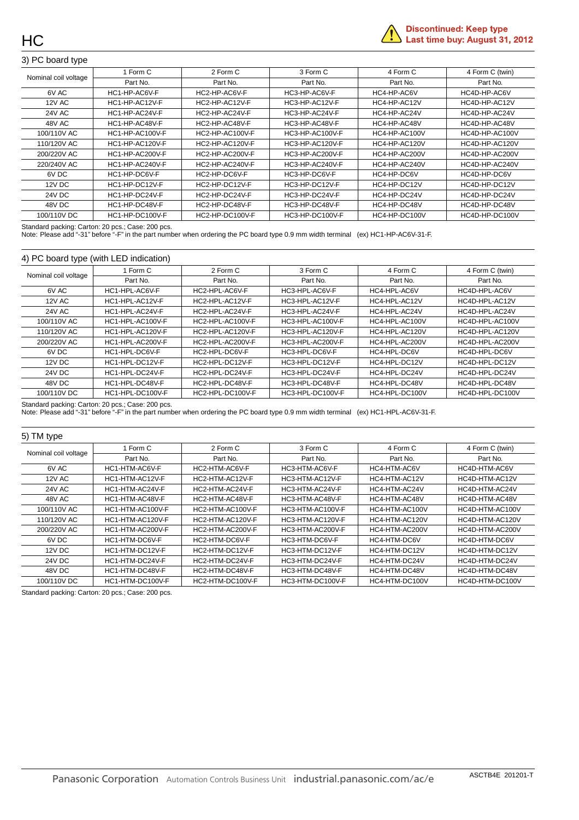

#### 3) PC board type

| Nominal coil voltage | 1 Form C               | 2 Form C        | 3 Form C        | 4 Form C      | 4 Form C (twin) |
|----------------------|------------------------|-----------------|-----------------|---------------|-----------------|
|                      | Part No.               | Part No.        | Part No.        | Part No.      | Part No.        |
| 6V AC                | HC1-HP-AC6V-F          | HC2-HP-AC6V-F   | HC3-HP-AC6V-F   | HC4-HP-AC6V   | HC4D-HP-AC6V    |
| <b>12V AC</b>        | HC1-HP-AC12V-F         | HC2-HP-AC12V-F  | HC3-HP-AC12V-F  | HC4-HP-AC12V  | HC4D-HP-AC12V   |
| <b>24V AC</b>        | HC1-HP-AC24V-F         | HC2-HP-AC24V-F  | HC3-HP-AC24V-F  | HC4-HP-AC24V  | HC4D-HP-AC24V   |
| 48V AC               | HC1-HP-AC48V-F         | HC2-HP-AC48V-F  | HC3-HP-AC48V-F  | HC4-HP-AC48V  | HC4D-HP-AC48V   |
| 100/110V AC          | HC1-HP-AC100V-F        | HC2-HP-AC100V-F | HC3-HP-AC100V-F | HC4-HP-AC100V | HC4D-HP-AC100V  |
| 110/120V AC          | <b>HC1-HP-AC120V-F</b> | HC2-HP-AC120V-F | HC3-HP-AC120V-F | HC4-HP-AC120V | HC4D-HP-AC120V  |
| 200/220V AC          | HC1-HP-AC200V-F        | HC2-HP-AC200V-F | HC3-HP-AC200V-F | HC4-HP-AC200V | HC4D-HP-AC200V  |
| 220/240V AC          | HC1-HP-AC240V-F        | HC2-HP-AC240V-F | HC3-HP-AC240V-F | HC4-HP-AC240V | HC4D-HP-AC240V  |
| 6V DC                | HC1-HP-DC6V-F          | HC2-HP-DC6V-F   | HC3-HP-DC6V-F   | HC4-HP-DC6V   | HC4D-HP-DC6V    |
| 12V DC               | HC1-HP-DC12V-F         | HC2-HP-DC12V-F  | HC3-HP-DC12V-F  | HC4-HP-DC12V  | HC4D-HP-DC12V   |
| 24V DC               | HC1-HP-DC24V-F         | HC2-HP-DC24V-F  | HC3-HP-DC24V-F  | HC4-HP-DC24V  | HC4D-HP-DC24V   |
| 48V DC               | HC1-HP-DC48V-F         | HC2-HP-DC48V-F  | HC3-HP-DC48V-F  | HC4-HP-DC48V  | HC4D-HP-DC48V   |
| 100/110V DC          | HC1-HP-DC100V-F        | HC2-HP-DC100V-F | HC3-HP-DC100V-F | HC4-HP-DC100V | HC4D-HP-DC100V  |

Standard packing: Carton: 20 pcs.; Case: 200 pcs.

Note: Please add "-31" before "-F" in the part number when ordering the PC board type 0.9 mm width terminal (ex) HC1-HP-AC6V-31-F.

#### 4) PC board type (with LED indication)

| Nominal coil voltage | 1 Form C         | 2 Form C         | 3 Form C         | 4 Form C       | 4 Form C (twin) |
|----------------------|------------------|------------------|------------------|----------------|-----------------|
|                      | Part No.         | Part No.         | Part No.         | Part No.       | Part No.        |
| 6V AC                | HC1-HPL-AC6V-F   | HC2-HPL-AC6V-F   | HC3-HPL-AC6V-F   | HC4-HPL-AC6V   | HC4D-HPL-AC6V   |
| 12V AC               | HC1-HPL-AC12V-F  | HC2-HPL-AC12V-F  | HC3-HPL-AC12V-F  | HC4-HPL-AC12V  | HC4D-HPL-AC12V  |
| 24V AC               | HC1-HPL-AC24V-F  | HC2-HPL-AC24V-F  | HC3-HPL-AC24V-F  | HC4-HPL-AC24V  | HC4D-HPL-AC24V  |
| 100/110V AC          | HC1-HPL-AC100V-F | HC2-HPL-AC100V-F | HC3-HPL-AC100V-F | HC4-HPL-AC100V | HC4D-HPL-AC100V |
| 110/120V AC          | HC1-HPL-AC120V-F | HC2-HPL-AC120V-F | HC3-HPL-AC120V-F | HC4-HPL-AC120V | HC4D-HPL-AC120V |
| 200/220V AC          | HC1-HPL-AC200V-F | HC2-HPL-AC200V-F | HC3-HPL-AC200V-F | HC4-HPL-AC200V | HC4D-HPL-AC200V |
| 6V DC                | HC1-HPL-DC6V-F   | HC2-HPL-DC6V-F   | HC3-HPL-DC6V-F   | HC4-HPL-DC6V   | HC4D-HPL-DC6V   |
| 12V DC               | HC1-HPL-DC12V-F  | HC2-HPL-DC12V-F  | HC3-HPL-DC12V-F  | HC4-HPL-DC12V  | HC4D-HPL-DC12V  |
| 24V DC               | HC1-HPL-DC24V-F  | HC2-HPL-DC24V-F  | HC3-HPL-DC24V-F  | HC4-HPL-DC24V  | HC4D-HPL-DC24V  |
| 48V DC               | HC1-HPL-DC48V-F  | HC2-HPL-DC48V-F  | HC3-HPL-DC48V-F  | HC4-HPL-DC48V  | HC4D-HPL-DC48V  |
| 100/110V DC          | HC1-HPL-DC100V-F | HC2-HPL-DC100V-F | HC3-HPL-DC100V-F | HC4-HPL-DC100V | HC4D-HPL-DC100V |

Standard packing: Carton: 20 pcs.; Case: 200 pcs.

Note: Please add "-31" before "-F" in the part number when ordering the PC board type 0.9 mm width terminal (ex) HC1-HPL-AC6V-31-F.

| 5) TM type           |                  |                  |                  |                |                 |
|----------------------|------------------|------------------|------------------|----------------|-----------------|
| Nominal coil voltage | 1 Form C         | 2 Form C         | 3 Form C         | 4 Form C       | 4 Form C (twin) |
|                      | Part No.         | Part No.         | Part No.         | Part No.       | Part No.        |
| 6V AC                | HC1-HTM-AC6V-F   | HC2-HTM-AC6V-F   | HC3-HTM-AC6V-F   | HC4-HTM-AC6V   | HC4D-HTM-AC6V   |
| <b>12V AC</b>        | HC1-HTM-AC12V-F  | HC2-HTM-AC12V-F  | HC3-HTM-AC12V-F  | HC4-HTM-AC12V  | HC4D-HTM-AC12V  |
| <b>24V AC</b>        | HC1-HTM-AC24V-F  | HC2-HTM-AC24V-F  | HC3-HTM-AC24V-F  | HC4-HTM-AC24V  | HC4D-HTM-AC24V  |
| 48V AC               | HC1-HTM-AC48V-F  | HC2-HTM-AC48V-F  | HC3-HTM-AC48V-F  | HC4-HTM-AC48V  | HC4D-HTM-AC48V  |
| 100/110V AC          | HC1-HTM-AC100V-F | HC2-HTM-AC100V-F | HC3-HTM-AC100V-F | HC4-HTM-AC100V | HC4D-HTM-AC100V |
| 110/120V AC          | HC1-HTM-AC120V-F | HC2-HTM-AC120V-F | HC3-HTM-AC120V-F | HC4-HTM-AC120V | HC4D-HTM-AC120V |
| 200/220V AC          | HC1-HTM-AC200V-F | HC2-HTM-AC200V-F | HC3-HTM-AC200V-F | HC4-HTM-AC200V | HC4D-HTM-AC200V |
| 6V DC                | HC1-HTM-DC6V-F   | HC2-HTM-DC6V-F   | HC3-HTM-DC6V-F   | HC4-HTM-DC6V   | HC4D-HTM-DC6V   |
| 12V DC               | HC1-HTM-DC12V-F  | HC2-HTM-DC12V-F  | HC3-HTM-DC12V-F  | HC4-HTM-DC12V  | HC4D-HTM-DC12V  |
| <b>24V DC</b>        | HC1-HTM-DC24V-F  | HC2-HTM-DC24V-F  | HC3-HTM-DC24V-F  | HC4-HTM-DC24V  | HC4D-HTM-DC24V  |
| 48V DC               | HC1-HTM-DC48V-F  | HC2-HTM-DC48V-F  | HC3-HTM-DC48V-F  | HC4-HTM-DC48V  | HC4D-HTM-DC48V  |
| 100/110V DC          | HC1-HTM-DC100V-F | HC2-HTM-DC100V-F | HC3-HTM-DC100V-F | HC4-HTM-DC100V | HC4D-HTM-DC100V |

Standard packing: Carton: 20 pcs.; Case: 200 pcs.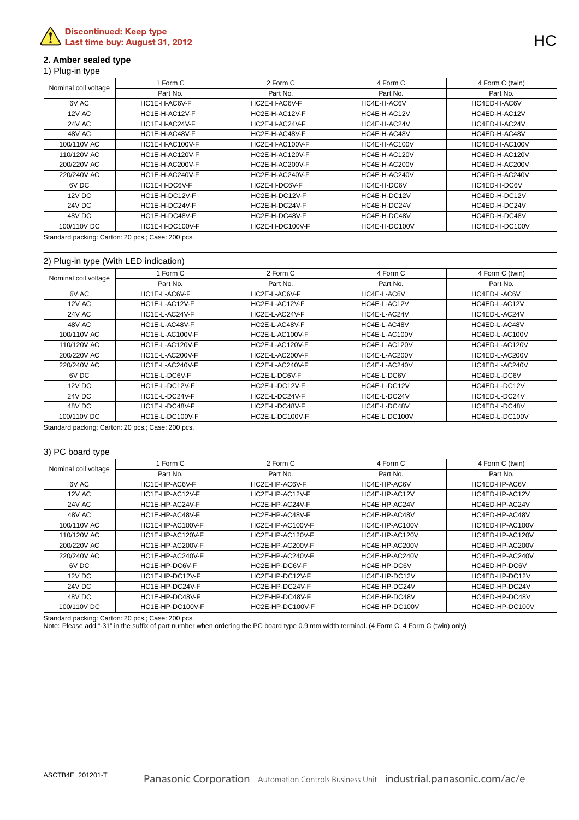#### **2. Amber sealed type**

#### 1) Plug-in type

| Nominal coil voltage | ∣ Form C        | 2 Form C               | 4 Form C      | 4 Form C (twin) |
|----------------------|-----------------|------------------------|---------------|-----------------|
|                      | Part No.        | Part No.               | Part No.      | Part No.        |
| 6V AC                | HC1E-H-AC6V-F   | HC2E-H-AC6V-F          | HC4E-H-AC6V   | HC4ED-H-AC6V    |
| <b>12V AC</b>        | HC1E-H-AC12V-F  | HC2E-H-AC12V-F         | HC4E-H-AC12V  | HC4ED-H-AC12V   |
| <b>24V AC</b>        | HC1E-H-AC24V-F  | HC2E-H-AC24V-F         | HC4E-H-AC24V  | HC4ED-H-AC24V   |
| 48V AC               | HC1E-H-AC48V-F  | HC2E-H-AC48V-F         | HC4E-H-AC48V  | HC4ED-H-AC48V   |
| 100/110V AC          | HC1E-H-AC100V-F | HC2E-H-AC100V-F        | HC4E-H-AC100V | HC4ED-H-AC100V  |
| 110/120V AC          | HC1E-H-AC120V-F | <b>HC2E-H-AC120V-F</b> | HC4E-H-AC120V | HC4ED-H-AC120V  |
| 200/220V AC          | HC1E-H-AC200V-F | HC2E-H-AC200V-F        | HC4E-H-AC200V | HC4ED-H-AC200V  |
| 220/240V AC          | HC1E-H-AC240V-F | HC2E-H-AC240V-F        | HC4E-H-AC240V | HC4ED-H-AC240V  |
| 6V DC                | HC1E-H-DC6V-F   | HC2E-H-DC6V-F          | HC4E-H-DC6V   | HC4ED-H-DC6V    |
| 12V DC               | HC1E-H-DC12V-F  | HC2E-H-DC12V-F         | HC4E-H-DC12V  | HC4ED-H-DC12V   |
| <b>24V DC</b>        | HC1E-H-DC24V-F  | HC2E-H-DC24V-F         | HC4E-H-DC24V  | HC4ED-H-DC24V   |
| 48V DC               | HC1E-H-DC48V-F  | HC2E-H-DC48V-F         | HC4E-H-DC48V  | HC4ED-H-DC48V   |
| 100/110V DC          | HC1E-H-DC100V-F | HC2E-H-DC100V-F        | HC4E-H-DC100V | HC4ED-H-DC100V  |

Standard packing: Carton: 20 pcs.; Case: 200 pcs.

#### 2) Plug-in type (With LED indication)

|                      | 1 Form C        | 2 Form C        | 4 Form C      | 4 Form C (twin) |
|----------------------|-----------------|-----------------|---------------|-----------------|
| Nominal coil voltage |                 |                 |               |                 |
|                      | Part No.        | Part No.        | Part No.      | Part No.        |
| 6V AC                | HC1E-L-AC6V-F   | HC2E-L-AC6V-F   | HC4E-L-AC6V   | HC4ED-L-AC6V    |
| <b>12V AC</b>        | HC1E-L-AC12V-F  | HC2E-L-AC12V-F  | HC4E-L-AC12V  | HC4ED-L-AC12V   |
| 24V AC               | HC1E-L-AC24V-F  | HC2E-L-AC24V-F  | HC4E-L-AC24V  | HC4ED-L-AC24V   |
| 48V AC               | HC1E-L-AC48V-F  | HC2E-L-AC48V-F  | HC4E-L-AC48V  | HC4ED-L-AC48V   |
| 100/110V AC          | HC1E-L-AC100V-F | HC2E-L-AC100V-F | HC4E-L-AC100V | HC4ED-L-AC100V  |
| 110/120V AC          | HC1E-L-AC120V-F | HC2E-L-AC120V-F | HC4E-L-AC120V | HC4ED-L-AC120V  |
| 200/220V AC          | HC1E-L-AC200V-F | HC2E-L-AC200V-F | HC4E-L-AC200V | HC4ED-L-AC200V  |
| 220/240V AC          | HC1E-L-AC240V-F | HC2E-L-AC240V-F | HC4E-L-AC240V | HC4ED-L-AC240V  |
| 6V DC                | HC1E-L-DC6V-F   | HC2E-L-DC6V-F   | HC4E-L-DC6V   | HC4ED-L-DC6V    |
| <b>12V DC</b>        | HC1E-L-DC12V-F  | HC2E-L-DC12V-F  | HC4E-L-DC12V  | HC4ED-L-DC12V   |
| 24V DC               | HC1E-L-DC24V-F  | HC2E-L-DC24V-F  | HC4E-L-DC24V  | HC4ED-L-DC24V   |
| 48V DC               | HC1E-L-DC48V-F  | HC2E-L-DC48V-F  | HC4E-L-DC48V  | HC4ED-L-DC48V   |
| 100/110V DC          | HC1E-L-DC100V-F | HC2E-L-DC100V-F | HC4E-L-DC100V | HC4ED-L-DC100V  |

Standard packing: Carton: 20 pcs.; Case: 200 pcs.

#### 3) PC board type

|                      | 1 Form C         | 2 Form C         | 4 Form C       | 4 Form C (twin) |
|----------------------|------------------|------------------|----------------|-----------------|
| Nominal coil voltage | Part No.         | Part No.         | Part No.       | Part No.        |
| 6V AC                | HC1E-HP-AC6V-F   | HC2E-HP-AC6V-F   | HC4E-HP-AC6V   | HC4ED-HP-AC6V   |
| <b>12V AC</b>        | HC1E-HP-AC12V-F  | HC2E-HP-AC12V-F  | HC4E-HP-AC12V  | HC4ED-HP-AC12V  |
| <b>24V AC</b>        | HC1E-HP-AC24V-F  | HC2E-HP-AC24V-F  | HC4E-HP-AC24V  | HC4ED-HP-AC24V  |
| 48V AC               | HC1E-HP-AC48V-F  | HC2E-HP-AC48V-F  | HC4E-HP-AC48V  | HC4ED-HP-AC48V  |
| 100/110V AC          | HC1E-HP-AC100V-F | HC2E-HP-AC100V-F | HC4E-HP-AC100V | HC4ED-HP-AC100V |
| 110/120V AC          | HC1E-HP-AC120V-F | HC2E-HP-AC120V-F | HC4E-HP-AC120V | HC4ED-HP-AC120V |
| 200/220V AC          | HC1E-HP-AC200V-F | HC2E-HP-AC200V-F | HC4E-HP-AC200V | HC4ED-HP-AC200V |
| 220/240V AC          | HC1E-HP-AC240V-F | HC2E-HP-AC240V-F | HC4E-HP-AC240V | HC4ED-HP-AC240V |
| 6V DC                | HC1E-HP-DC6V-F   | HC2E-HP-DC6V-F   | HC4E-HP-DC6V   | HC4ED-HP-DC6V   |
| 12V DC               | HC1E-HP-DC12V-F  | HC2E-HP-DC12V-F  | HC4E-HP-DC12V  | HC4ED-HP-DC12V  |
| <b>24V DC</b>        | HC1E-HP-DC24V-F  | HC2E-HP-DC24V-F  | HC4E-HP-DC24V  | HC4ED-HP-DC24V  |
| 48V DC               | HC1E-HP-DC48V-F  | HC2E-HP-DC48V-F  | HC4E-HP-DC48V  | HC4ED-HP-DC48V  |
| 100/110V DC          | HC1E-HP-DC100V-F | HC2E-HP-DC100V-F | HC4E-HP-DC100V | HC4ED-HP-DC100V |

Standard packing: Carton: 20 pcs.; Case: 200 pcs.

Note: Please add "-31" in the suffix of part number when ordering the PC board type 0.9 mm width terminal. (4 Form C, 4 Form C (twin) only)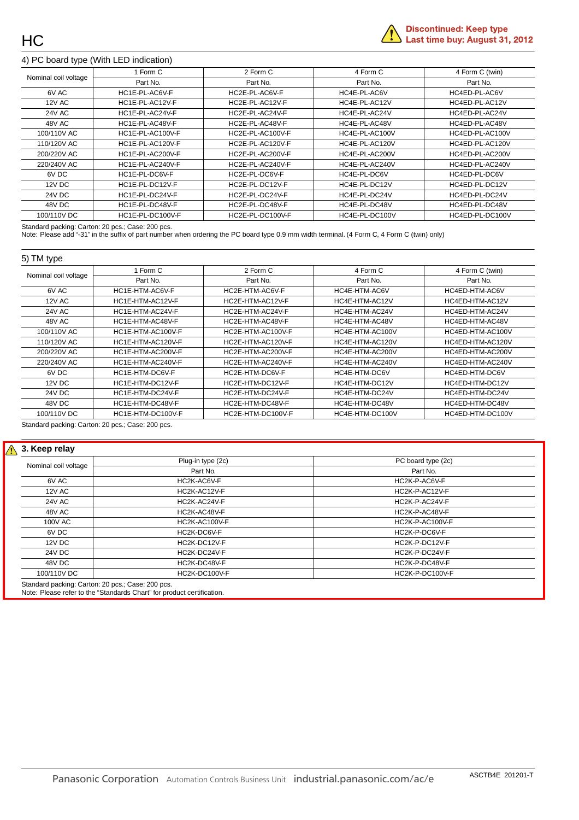

#### 4) PC board type (With LED indication)

|                      | 1 Form C         | 2 Form C         | 4 Form C       | 4 Form C (twin) |
|----------------------|------------------|------------------|----------------|-----------------|
| Nominal coil voltage | Part No.         | Part No.         | Part No.       | Part No.        |
| 6V AC                | HC1E-PL-AC6V-F   | HC2E-PL-AC6V-F   | HC4E-PL-AC6V   | HC4ED-PL-AC6V   |
| 12V AC               | HC1E-PL-AC12V-F  | HC2E-PL-AC12V-F  | HC4E-PL-AC12V  | HC4ED-PL-AC12V  |
| <b>24V AC</b>        | HC1E-PL-AC24V-F  | HC2E-PL-AC24V-F  | HC4E-PL-AC24V  | HC4ED-PL-AC24V  |
| 48V AC               | HC1E-PL-AC48V-F  | HC2E-PL-AC48V-F  | HC4E-PL-AC48V  | HC4ED-PL-AC48V  |
| 100/110V AC          | HC1E-PL-AC100V-F | HC2E-PL-AC100V-F | HC4E-PL-AC100V | HC4ED-PL-AC100V |
| 110/120V AC          | HC1E-PL-AC120V-F | HC2E-PL-AC120V-F | HC4E-PL-AC120V | HC4ED-PL-AC120V |
| 200/220V AC          | HC1E-PL-AC200V-F | HC2E-PL-AC200V-F | HC4E-PL-AC200V | HC4ED-PL-AC200V |
| 220/240V AC          | HC1E-PL-AC240V-F | HC2E-PL-AC240V-F | HC4E-PL-AC240V | HC4ED-PL-AC240V |
| 6V DC                | HC1E-PL-DC6V-F   | HC2E-PL-DC6V-F   | HC4E-PL-DC6V   | HC4ED-PL-DC6V   |
| 12V DC               | HC1E-PL-DC12V-F  | HC2E-PL-DC12V-F  | HC4E-PL-DC12V  | HC4ED-PL-DC12V  |
| <b>24V DC</b>        | HC1E-PL-DC24V-F  | HC2E-PL-DC24V-F  | HC4E-PL-DC24V  | HC4ED-PL-DC24V  |
| 48V DC               | HC1E-PL-DC48V-F  | HC2E-PL-DC48V-F  | HC4E-PL-DC48V  | HC4ED-PL-DC48V  |
| 100/110V DC          | HC1E-PL-DC100V-F | HC2E-PL-DC100V-F | HC4E-PL-DC100V | HC4ED-PL-DC100V |

Standard packing: Carton: 20 pcs.; Case: 200 pcs.

Note: Please add "-31" in the suffix of part number when ordering the PC board type 0.9 mm width terminal. (4 Form C, 4 Form C (twin) only)

#### 5) TM type

| Nominal coil voltage | 1 Form C          | 2 Form C          | 4 Form C        | 4 Form C (twin)  |
|----------------------|-------------------|-------------------|-----------------|------------------|
|                      | Part No.          | Part No.          | Part No.        | Part No.         |
| 6V AC                | HC1E-HTM-AC6V-F   | HC2E-HTM-AC6V-F   | HC4E-HTM-AC6V   | HC4ED-HTM-AC6V   |
| <b>12V AC</b>        | HC1E-HTM-AC12V-F  | HC2E-HTM-AC12V-F  | HC4E-HTM-AC12V  | HC4ED-HTM-AC12V  |
| <b>24V AC</b>        | HC1E-HTM-AC24V-F  | HC2E-HTM-AC24V-F  | HC4E-HTM-AC24V  | HC4ED-HTM-AC24V  |
| 48V AC               | HC1E-HTM-AC48V-F  | HC2E-HTM-AC48V-F  | HC4E-HTM-AC48V  | HC4ED-HTM-AC48V  |
| 100/110V AC          | HC1E-HTM-AC100V-F | HC2E-HTM-AC100V-F | HC4E-HTM-AC100V | HC4ED-HTM-AC100V |
| 110/120V AC          | HC1E-HTM-AC120V-F | HC2E-HTM-AC120V-F | HC4E-HTM-AC120V | HC4ED-HTM-AC120V |
| 200/220V AC          | HC1E-HTM-AC200V-F | HC2E-HTM-AC200V-F | HC4E-HTM-AC200V | HC4ED-HTM-AC200V |
| 220/240V AC          | HC1E-HTM-AC240V-F | HC2E-HTM-AC240V-F | HC4E-HTM-AC240V | HC4ED-HTM-AC240V |
| 6V DC                | HC1E-HTM-DC6V-F   | HC2E-HTM-DC6V-F   | HC4E-HTM-DC6V   | HC4ED-HTM-DC6V   |
| 12V DC               | HC1E-HTM-DC12V-F  | HC2E-HTM-DC12V-F  | HC4E-HTM-DC12V  | HC4ED-HTM-DC12V  |
| 24V DC               | HC1E-HTM-DC24V-F  | HC2E-HTM-DC24V-F  | HC4E-HTM-DC24V  | HC4ED-HTM-DC24V  |
| 48V DC               | HC1E-HTM-DC48V-F  | HC2E-HTM-DC48V-F  | HC4E-HTM-DC48V  | HC4ED-HTM-DC48V  |
| 100/110V DC          | HC1E-HTM-DC100V-F | HC2E-HTM-DC100V-F | HC4E-HTM-DC100V | HC4ED-HTM-DC100V |

Standard packing: Carton: 20 pcs.; Case: 200 pcs.

#### $\sqrt{\Lambda}$ **3. Keep relay**

|                      | Plug-in type (2c) | PC board type (2c) |
|----------------------|-------------------|--------------------|
| Nominal coil voltage | Part No.          | Part No.           |
| 6V AC                | HC2K-AC6V-F       | HC2K-P-AC6V-F      |
| <b>12V AC</b>        | HC2K-AC12V-F      | HC2K-P-AC12V-F     |
| <b>24V AC</b>        | HC2K-AC24V-F      | HC2K-P-AC24V-F     |
| 48V AC               | HC2K-AC48V-F      | HC2K-P-AC48V-F     |
| <b>100V AC</b>       | HC2K-AC100V-F     | HC2K-P-AC100V-F    |
| 6V DC                | HC2K-DC6V-F       | HC2K-P-DC6V-F      |
| 12V DC               | HC2K-DC12V-F      | HC2K-P-DC12V-F     |
| 24V DC               | HC2K-DC24V-F      | HC2K-P-DC24V-F     |
| 48V DC               | HC2K-DC48V-F      | HC2K-P-DC48V-F     |
| 100/110V DC          | HC2K-DC100V-F     | HC2K-P-DC100V-F    |

Note: Please refer to the "Standards Chart" for product certification.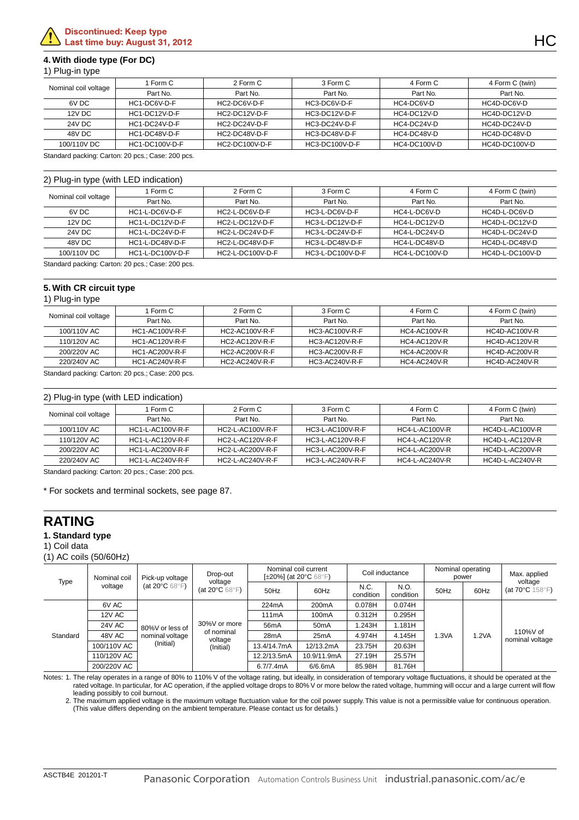#### **4. With diode type (For DC)**

|  | 1) Plug-in type |  |
|--|-----------------|--|
|  |                 |  |

|                                      | Form C        | 2 Form C       | 3 Form C       | 4 Form C     | 4 Form C (twin) |
|--------------------------------------|---------------|----------------|----------------|--------------|-----------------|
| Nominal coil voltage                 | Part No.      | Part No.       | Part No.       | Part No.     | Part No.        |
| 6V DC                                | HC1-DC6V-D-F  | HC2-DC6V-D-F   | HC3-DC6V-D-F   | HC4-DC6V-D   | HC4D-DC6V-D     |
| 12V DC                               | HC1-DC12V-D-F | HC2-DC12V-D-F  | HC3-DC12V-D-F  | HC4-DC12V-D  | HC4D-DC12V-D    |
| 24V DC                               | HC1-DC24V-D-F | HC2-DC24V-D-F  | HC3-DC24V-D-F  | HC4-DC24V-D  | HC4D-DC24V-D    |
| 48V DC                               | HC1-DC48V-D-F | HC2-DC48V-D-F  | HC3-DC48V-D-F  | HC4-DC48V-D  | HC4D-DC48V-D    |
| <b>HC1-DC100V-D-F</b><br>100/110V DC |               | HC2-DC100V-D-F | HC3-DC100V-D-F | HC4-DC100V-D |                 |

Standard packing: Carton: 20 pcs.; Case: 200 pcs.

#### 2) Plug-in type (with LED indication)

|                      | Form C           | 2 Form C         | 3 Form C         | 4 Form C       | 4 Form C (twin) |
|----------------------|------------------|------------------|------------------|----------------|-----------------|
| Nominal coil voltage | Part No.         | Part No.         | Part No.         | Part No.       | Part No.        |
| 6V DC                | HC1-L-DC6V-D-F   | HC2-L-DC6V-D-F   | HC3-L-DC6V-D-F   | HC4-L-DC6V-D   | HC4D-L-DC6V-D   |
| 12V DC               | HC1-L-DC12V-D-F  | HC2-L-DC12V-D-F  | HC3-L-DC12V-D-F  | HC4-L-DC12V-D  | HC4D-L-DC12V-D  |
| 24V DC               | HC1-L-DC24V-D-F  | HC2-L-DC24V-D-F  | HC3-L-DC24V-D-F  | HC4-L-DC24V-D  | HC4D-L-DC24V-D  |
| 48V DC               | HC1-L-DC48V-D-F  | HC2-L-DC48V-D-F  | HC3-L-DC48V-D-F  | HC4-L-DC48V-D  | HC4D-L-DC48V-D  |
| 100/110V DC          | HC1-L-DC100V-D-F | HC2-L-DC100V-D-F | HC3-L-DC100V-D-F | HC4-L-DC100V-D | HC4D-L-DC100V-D |
|                      |                  |                  |                  |                |                 |

Standard packing: Carton: 20 pcs.; Case: 200 pcs.

#### **5. With CR circuit type**

#### 1) Plug-in type

| Nominal coil voltage | Form C                | 2 Form C              | 3 Form C       | 4 Form C            | 4 Form C (twin)      |
|----------------------|-----------------------|-----------------------|----------------|---------------------|----------------------|
|                      | Part No.              | Part No.              | Part No.       | Part No.            | Part No.             |
| 100/110V AC          | <b>HC1-AC100V-R-F</b> | HC2-AC100V-R-F        | HC3-AC100V-R-F | HC4-AC100V-R        | HC4D-AC100V-R        |
| 110/120V AC          | <b>HC1-AC120V-R-F</b> | HC2-AC120V-R-F        | HC3-AC120V-R-F | <b>HC4-AC120V-R</b> | <b>HC4D-AC120V-R</b> |
| 200/220V AC          | HC1-AC200V-R-F        | $HC2-AC200V-R-F$      | HC3-AC200V-R-F | HC4-AC200V-R        | HC4D-AC200V-R        |
| 220/240V AC          | <b>HC1-AC240V-R-F</b> | <b>HC2-AC240V-R-F</b> | HC3-AC240V-R-F | <b>HC4-AC240V-R</b> | HC4D-AC240V-R        |

Standard packing: Carton: 20 pcs.; Case: 200 pcs.

#### 2) Plug-in type (with LED indication)

| .                    |                  |                  |                  |                       |                 |
|----------------------|------------------|------------------|------------------|-----------------------|-----------------|
|                      | Form C           | 2 Form C         | 3 Form C         | 4 Form C              | 4 Form C (twin) |
| Nominal coil voltage | Part No.         | Part No.         | Part No.         | Part No.              | Part No.        |
| 100/110V AC          | HC1-L-AC100V-R-F | HC2-L-AC100V-R-F | HC3-L-AC100V-R-F | <b>HC4-L-AC100V-R</b> | HC4D-L-AC100V-R |
| 110/120V AC          | HC1-L-AC120V-R-F | HC2-L-AC120V-R-F | HC3-L-AC120V-R-F | <b>HC4-L-AC120V-R</b> | HC4D-L-AC120V-R |
| 200/220V AC          | HC1-L-AC200V-R-F | HC2-L-AC200V-R-F | HC3-L-AC200V-R-F | HC4-L-AC200V-R        | HC4D-L-AC200V-R |
| 220/240V AC          | HC1-L-AC240V-R-F | HC2-L-AC240V-R-F | HC3-L-AC240V-R-F | <b>HC4-L-AC240V-R</b> | HC4D-L-AC240V-R |
|                      |                  |                  |                  |                       |                 |

Standard packing: Carton: 20 pcs.; Case: 200 pcs.

\* For sockets and terminal sockets, see page 87.

### **RATING**

#### **1. Standard type**

1) Coil data

(1) AC coils (50/60Hz)

| Type     | Nominal coil  | Pick-up voltage                                       | Nominal coil current<br>Drop-out<br>[ $\pm$ 20%] (at 20 $\degree$ C 68 $\degree$ F)<br>voltage |                   | Coil inductance    |                   | Nominal operating<br>power |       | Max. applied |                                                |
|----------|---------------|-------------------------------------------------------|------------------------------------------------------------------------------------------------|-------------------|--------------------|-------------------|----------------------------|-------|--------------|------------------------------------------------|
|          | voltage       | (at 20 $\mathrm{^{\circ}C}$ 68 $\mathrm{^{\circ}F}$ ) | (at 20 $\mathrm{^{\circ}C}$ 68 $\mathrm{^{\circ}F}$ )                                          | 50Hz              | 60Hz               | N.C.<br>condition | N.O.<br>condition          | 50Hz  | 60Hz         | voltage<br>(at $70^{\circ}$ C $158^{\circ}$ F) |
|          | 6V AC         |                                                       |                                                                                                | 224mA             | 200 <sub>m</sub> A | 0.078H            | 0.074H                     |       | 1.2VA        |                                                |
|          | <b>12V AC</b> |                                                       |                                                                                                | 111 <sub>mA</sub> | 100 <sub>m</sub> A | 0.312H            | 0.295H                     |       |              | 110%V of<br>nominal voltage                    |
|          | <b>24V AC</b> | 80%V or less of                                       | 30%V or more                                                                                   | 56 <sub>m</sub> A | 50 <sub>m</sub> A  | 1.243H            | 1.181H                     |       |              |                                                |
| Standard | 48V AC        | nominal voltage                                       | of nominal<br>voltage                                                                          | 28 <sub>m</sub> A | 25mA               | 4.974H            | 4.145H                     | 1.3VA |              |                                                |
|          | 100/110V AC   | (Initial)                                             | (Initial)                                                                                      | 13.4/14.7mA       | 12/13.2mA          | 23.75H            | 20.63H                     |       |              |                                                |
|          | 110/120V AC   |                                                       |                                                                                                | 12.2/13.5mA       | 10.9/11.9mA        | 27.19H            | 25.57H                     |       |              |                                                |
|          | 200/220V AC   |                                                       |                                                                                                | 6.7/7.4mA         | 6/6.6mA            | 85.98H            | 81.76H                     |       |              |                                                |

Notes: 1. The relay operates in a range of 80% to 110% V of the voltage rating, but ideally, in consideration of temporary voltage fluctuations, it should be operated at the rated voltage. In particular, for AC operation, if the applied voltage drops to 80% V or more below the rated voltage, humming will occur and a large current will flow leading possibly to coil burnout.

2. The maximum applied voltage is the maximum voltage fluctuation value for the coil power supply. This value is not a permissible value for continuous operation. (This value differs depending on the ambient temperature. Please contact us for details.)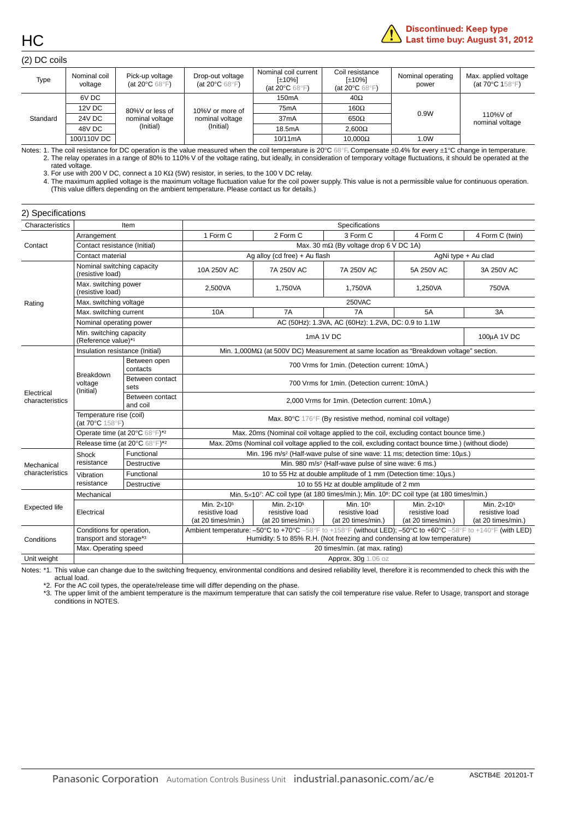

#### (2) DC coils

| Type     | Nominal coil<br>voltage | Pick-up voltage<br>(at 20 $\mathrm{^{\circ}C}$ 68 $\mathrm{^{\circ}F}$ ) | Drop-out voltage<br>(at 20 $\mathrm{^{\circ}C}$ 68 $\mathrm{^{\circ}F}$ ) | Nominal coil current<br>[±10%]<br>(at 20 $\mathrm{^{\circ}C}$ 68 $\mathrm{^{\circ}F}$ ) | Coil resistance<br>[±10%]<br>(at 20 $\rm ^{\circ}C$ 68 $\rm ^{\circ}F)$ | Nominal operating<br>power | Max. applied voltage<br>(at $70^{\circ}$ C 158 $^{\circ}$ F) |
|----------|-------------------------|--------------------------------------------------------------------------|---------------------------------------------------------------------------|-----------------------------------------------------------------------------------------|-------------------------------------------------------------------------|----------------------------|--------------------------------------------------------------|
|          | 6V DC                   |                                                                          | 10%V or more of<br>nominal voltage<br>(Initial)                           | 150 <sub>m</sub> A                                                                      | $40\Omega$                                                              |                            | 110%V of<br>nominal voltage                                  |
|          | 12V DC                  | 80%V or less of                                                          |                                                                           | 75 <sub>m</sub> A                                                                       | 160 $\Omega$                                                            | 0.9W                       |                                                              |
| Standard | 24V DC                  | nominal voltage<br>(Initial)                                             |                                                                           | 37mA                                                                                    | $650\Omega$                                                             |                            |                                                              |
|          | 48V DC                  |                                                                          |                                                                           | 18.5mA                                                                                  | $2.600\Omega$                                                           |                            |                                                              |
|          | 100/110V DC             |                                                                          |                                                                           | $10/11 \text{mA}$                                                                       | $10.000\Omega$                                                          | 1.0W                       |                                                              |

Notes: 1. The coil resistance for DC operation is the value measured when the coil temperature is 20°C 68°F. Compensate ±0.4% for every ±1°C change in temperature. 2. The relay operates in a range of 80% to 110% V of the voltage rating, but ideally, in consideration of temporary voltage fluctuations, it should be operated at the rated voltage.

3. For use with 200 V DC, connect a 10 KΩ (5W) resistor, in series, to the 100 V DC relay.<br>4. The maximum applied voltage is the maximum voltage fluctuation value for the coil power supply. This value is not a permissible (This value differs depending on the ambient temperature. Please contact us for details.)

| 2) Specifications             |                                                                |                               |                                                                                                      |                                                            |                                                                                                                                                                                          |                                                            |                                                                |
|-------------------------------|----------------------------------------------------------------|-------------------------------|------------------------------------------------------------------------------------------------------|------------------------------------------------------------|------------------------------------------------------------------------------------------------------------------------------------------------------------------------------------------|------------------------------------------------------------|----------------------------------------------------------------|
| Characteristics               |                                                                | Item                          |                                                                                                      |                                                            | Specifications                                                                                                                                                                           |                                                            |                                                                |
|                               | Arrangement                                                    |                               | 1 Form C                                                                                             | 2 Form C                                                   | 3 Form C                                                                                                                                                                                 | 4 Form C                                                   | 4 Form C (twin)                                                |
| Contact                       | Contact resistance (Initial)                                   |                               |                                                                                                      |                                                            | Max. 30 m $\Omega$ (By voltage drop 6 V DC 1A)                                                                                                                                           |                                                            |                                                                |
|                               | Contact material                                               |                               |                                                                                                      | Ag alloy (cd free) + Au flash                              |                                                                                                                                                                                          | AgNi type + Au clad                                        |                                                                |
|                               | Nominal switching capacity<br>(resistive load)                 |                               | 10A 250V AC                                                                                          | 7A 250V AC                                                 | 7A 250V AC                                                                                                                                                                               | 5A 250V AC                                                 | 3A 250V AC                                                     |
|                               | Max. switching power<br>(resistive load)                       |                               | 2,500VA                                                                                              | 1,750VA                                                    | 1,750VA                                                                                                                                                                                  | 1,250VA                                                    | 750VA                                                          |
| Rating                        | Max. switching voltage                                         |                               |                                                                                                      |                                                            | 250VAC                                                                                                                                                                                   |                                                            |                                                                |
|                               | Max. switching current                                         |                               | 10A                                                                                                  | 7A                                                         | 7A                                                                                                                                                                                       | 5A                                                         | 3A                                                             |
|                               | Nominal operating power                                        |                               |                                                                                                      |                                                            | AC (50Hz): 1.3VA, AC (60Hz): 1.2VA, DC: 0.9 to 1.1W                                                                                                                                      |                                                            |                                                                |
|                               | Min. switching capacity<br>(Reference value)*1                 |                               |                                                                                                      |                                                            | 1mA 1V DC                                                                                                                                                                                |                                                            | 100uA 1V DC                                                    |
|                               | Insulation resistance (Initial)                                |                               |                                                                                                      |                                                            | Min. 1,000MΩ (at 500V DC) Measurement at same location as "Breakdown voltage" section.                                                                                                   |                                                            |                                                                |
|                               | <b>Breakdown</b><br>voltage<br>(Initial)                       | Between open<br>contacts      | 700 Vrms for 1min. (Detection current: 10mA.)                                                        |                                                            |                                                                                                                                                                                          |                                                            |                                                                |
|                               |                                                                | Between contact<br>sets       | 700 Vrms for 1min. (Detection current: 10mA.)                                                        |                                                            |                                                                                                                                                                                          |                                                            |                                                                |
| Electrical<br>characteristics | Between contact<br>and coil                                    |                               | 2,000 Vrms for 1min. (Detection current: 10mA.)                                                      |                                                            |                                                                                                                                                                                          |                                                            |                                                                |
|                               | Temperature rise (coil)<br>(at $70^{\circ}$ C $158^{\circ}$ F) |                               | Max. 80°C 176°F (By resistive method, nominal coil voltage)                                          |                                                            |                                                                                                                                                                                          |                                                            |                                                                |
|                               |                                                                | Operate time (at 20°C 68°F)*2 |                                                                                                      |                                                            | Max. 20ms (Nominal coil voltage applied to the coil, excluding contact bounce time.)                                                                                                     |                                                            |                                                                |
|                               | Release time (at 20°C 68°F)*2                                  |                               | Max. 20ms (Nominal coil voltage applied to the coil, excluding contact bounce time.) (without diode) |                                                            |                                                                                                                                                                                          |                                                            |                                                                |
|                               | Shock                                                          | Functional                    |                                                                                                      |                                                            | Min. 196 m/s <sup>2</sup> (Half-wave pulse of sine wave: 11 ms; detection time: 10us.)                                                                                                   |                                                            |                                                                |
| Mechanical                    | resistance                                                     | Destructive                   | Min. 980 m/s <sup>2</sup> (Half-wave pulse of sine wave: 6 ms.)                                      |                                                            |                                                                                                                                                                                          |                                                            |                                                                |
| characteristics               | Vibration                                                      | Functional                    |                                                                                                      |                                                            | 10 to 55 Hz at double amplitude of 1 mm (Detection time: 10µs.)                                                                                                                          |                                                            |                                                                |
|                               | resistance                                                     | <b>Destructive</b>            |                                                                                                      |                                                            | 10 to 55 Hz at double amplitude of 2 mm                                                                                                                                                  |                                                            |                                                                |
|                               | Mechanical                                                     |                               |                                                                                                      |                                                            | Min. 5×107: AC coil type (at 180 times/min.); Min. 10 <sup>8</sup> : DC coil type (at 180 times/min.)                                                                                    |                                                            |                                                                |
| <b>Expected life</b>          | Electrical                                                     |                               | Min. 2×10 <sup>5</sup><br>resistive load<br>(at 20 times/min.)                                       | Min. $2\times10^5$<br>resistive load<br>(at 20 times/min.) | Min. 105<br>resistive load<br>(at 20 times/min.)                                                                                                                                         | Min. $2\times10^5$<br>resistive load<br>(at 20 times/min.) | Min. 2×10 <sup>5</sup><br>resistive load<br>(at 20 times/min.) |
| Conditions                    | Conditions for operation,<br>transport and storage*3           |                               |                                                                                                      |                                                            | Ambient temperature: -50°C to +70°C -58°F to +158°F (without LED); -50°C to +60°C -58°F to +140°F (with LED)<br>Humidity: 5 to 85% R.H. (Not freezing and condensing at low temperature) |                                                            |                                                                |
|                               | Max. Operating speed                                           |                               |                                                                                                      |                                                            | 20 times/min. (at max. rating)                                                                                                                                                           |                                                            |                                                                |
| Unit weight                   |                                                                |                               |                                                                                                      |                                                            | Approx. 30q 1.06 oz                                                                                                                                                                      |                                                            |                                                                |

Notes: \*1. This value can change due to the switching frequency, environmental conditions and desired reliability level, therefore it is recommended to check this with the actual load.

\*2. For the AC coil types, the operate/release time will differ depending on the phase.

\*3. The upper limit of the ambient temperature is the maximum temperature that can satisfy the coil temperature rise value. Refer to Usage, transport and storage conditions in NOTES.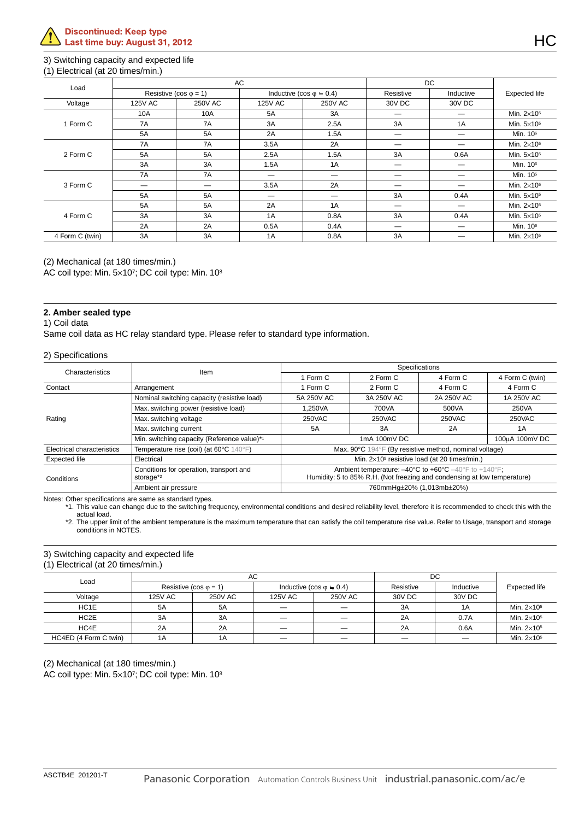#### 3) Switching capacity and expected life

#### (1) Electrical (at 20 times/min.)

| Load            |                |                               | <b>AC</b> |                                       | <b>DC</b> |           |                        |
|-----------------|----------------|-------------------------------|-----------|---------------------------------------|-----------|-----------|------------------------|
|                 |                | Resistive (cos $\varphi$ = 1) |           | Inductive (cos $\varphi \doteq 0.4$ ) | Resistive | Inductive | <b>Expected life</b>   |
| Voltage         | <b>125V AC</b> | <b>250V AC</b>                | 125V AC   | <b>250V AC</b>                        | 30V DC    | 30V DC    |                        |
|                 | 10A            | 10A                           | 5A        | 3A                                    |           |           | Min. $2\times10^5$     |
| 1 Form C        | 7A             | 7A                            | 3A        | 2.5A                                  | 3A        | 1A        | Min. $5\times10^5$     |
|                 | 5A             | 5A                            | 2A        | 1.5A                                  |           |           | Min. 10 <sup>6</sup>   |
|                 | 7A<br>7A       |                               | 3.5A      | 2A                                    | –         |           | Min. $2\times10^5$     |
| 2 Form C        | <b>5A</b>      | 5A                            | 2.5A      | 1.5A                                  | 3A        | 0.6A      | Min. 5×10 <sup>5</sup> |
|                 | 3A             | 3A                            | 1.5A      | 1A                                    |           |           | Min. 10 <sup>6</sup>   |
|                 | 7A             | 7A                            | —<br>—    |                                       | -         |           | Min. 10 <sup>5</sup>   |
| 3 Form C        | _              | _                             | 3.5A      | 2A                                    |           |           | Min. $2\times10^5$     |
|                 | 5A             | 5A                            |           | --                                    | 3A        | 0.4A      | Min. 5×10 <sup>5</sup> |
|                 | 5A             | 5A                            | 2A        | 1A                                    | —         |           | Min. $2\times10^5$     |
| 4 Form C        | 3A             | 3A                            | 1A        | 0.8A                                  | 3A        | 0.4A      | Min. 5×10 <sup>5</sup> |
|                 | 2A             | 2A                            | 0.5A      | 0.4A                                  | _         |           | Min. 10 <sup>6</sup>   |
| 4 Form C (twin) | 3A             | 3A                            | 1A        | 0.8A                                  | 3A        |           | Min. $2\times105$      |

(2) Mechanical (at 180 times/min.)

AC coil type: Min. 5×107; DC coil type: Min. 108

#### **2. Amber sealed type**

#### 1) Coil data

Same coil data as HC relay standard type. Please refer to standard type information.

#### 2) Specifications

| Characteristics            | Item                                                             |                                                                                                                                                                          | Specifications                                           |            |                 |  |  |  |  |  |
|----------------------------|------------------------------------------------------------------|--------------------------------------------------------------------------------------------------------------------------------------------------------------------------|----------------------------------------------------------|------------|-----------------|--|--|--|--|--|
|                            |                                                                  | 1 Form C                                                                                                                                                                 | 2 Form C                                                 | 4 Form C   | 4 Form C (twin) |  |  |  |  |  |
| Contact                    | Arrangement                                                      | 1 Form C                                                                                                                                                                 | 2 Form C                                                 | 4 Form C   | 4 Form C        |  |  |  |  |  |
|                            | Nominal switching capacity (resistive load)                      | 5A 250V AC                                                                                                                                                               | 3A 250V AC                                               | 2A 250V AC | 1A 250V AC      |  |  |  |  |  |
|                            | Max. switching power (resistive load)                            | 1.250VA                                                                                                                                                                  | 700VA                                                    | 500VA      | 250VA           |  |  |  |  |  |
| Rating                     | Max. switching voltage                                           | 250VAC                                                                                                                                                                   | 250VAC                                                   | 250VAC     | 250VAC          |  |  |  |  |  |
|                            | Max. switching current                                           | 5A                                                                                                                                                                       | 3A                                                       | 2A         | 1 A             |  |  |  |  |  |
|                            | Min. switching capacity (Reference value)*1                      | $1mA$ $100mV$ DC<br>100uA 100mV DC                                                                                                                                       |                                                          |            |                 |  |  |  |  |  |
| Electrical characteristics | Temperature rise (coil) (at 60°C 140°F)                          |                                                                                                                                                                          | Max. 90°C 194°F (By resistive method, nominal voltage)   |            |                 |  |  |  |  |  |
| <b>Expected life</b>       | Electrical                                                       |                                                                                                                                                                          | Min. 2×10 <sup>5</sup> resistive load (at 20 times/min.) |            |                 |  |  |  |  |  |
| Conditions                 | Conditions for operation, transport and<br>storage <sup>*2</sup> | Ambient temperature: $-40^{\circ}$ C to $+60^{\circ}$ C $-40^{\circ}$ F to $+140^{\circ}$ F;<br>Humidity: 5 to 85% R.H. (Not freezing and condensing at low temperature) |                                                          |            |                 |  |  |  |  |  |
|                            | Ambient air pressure                                             | 760mmHq±20% (1,013mb±20%)                                                                                                                                                |                                                          |            |                 |  |  |  |  |  |

Notes: Other specifications are same as standard types.

\*1. This value can change due to the switching frequency, environmental conditions and desired reliability level, therefore it is recommended to check this with the actual load.

\*2. The upper limit of the ambient temperature is the maximum temperature that can satisfy the coil temperature rise value. Refer to Usage, transport and storage conditions in NOTES.

#### 3) Switching capacity and expected life

#### (1) Electrical (at 20 times/min.)

| Load                  |                               | AC             |                                  |                | DC        |           |                    |
|-----------------------|-------------------------------|----------------|----------------------------------|----------------|-----------|-----------|--------------------|
|                       | Resistive (cos $\varphi$ = 1) |                | Inductive (cos $\varphi = 0.4$ ) |                | Resistive | Inductive | Expected life      |
| Voltage               | 125V AC                       | <b>250V AC</b> | 125V AC                          | <b>250V AC</b> | 30V DC    | 30V DC    |                    |
| HC1E                  | 5A                            | 5A             |                                  |                | -3A       | 1A        | Min. $2\times105$  |
| HC <sub>2</sub> E     | 3A                            | 3A             |                                  |                | 2A        | 0.7A      | Min. $2\times105$  |
| HC4E                  | 2A                            | 2A             |                                  |                | 2A        | 0.6A      | Min. $2\times105$  |
| HC4ED (4 Form C twin) | 1A                            | 1A             |                                  |                | --        | —         | Min. $2\times10^5$ |

(2) Mechanical (at 180 times/min.)

AC coil type: Min. 5×107; DC coil type: Min. 108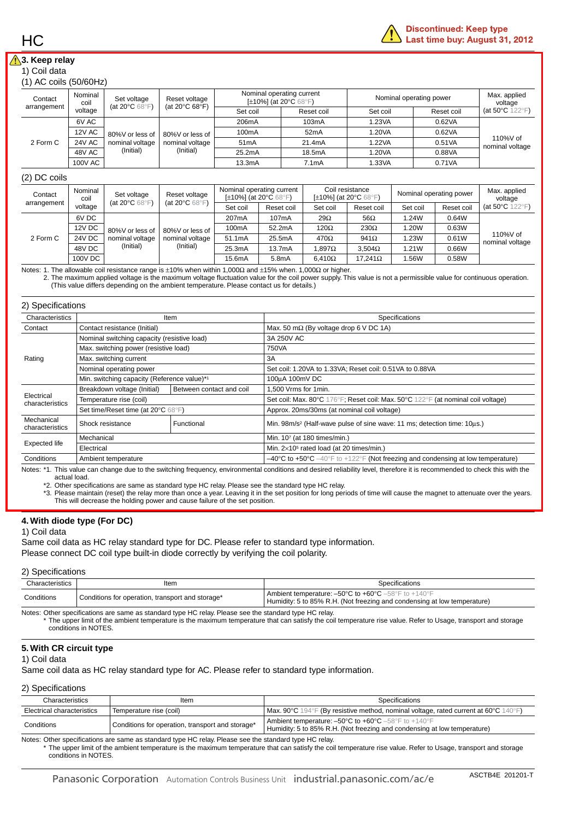#### **3. Keep relay**

#### 1) Coil data

| $(1)$ AC coils $(50/60Hz)$ |  |
|----------------------------|--|
|----------------------------|--|

| Contact<br>arrangement | Nominal<br>coil | Set voltage<br>(at 20 $\mathrm{^{\circ}C}$ 68 $\mathrm{^{\circ}F}$ ) | Reset voltage<br>(at 20 $\degree$ C 68 $\degree$ F) | [ $\pm$ 10%] (at 20 $\degree$ C 68 $\degree$ F) | Nominal operating current | Nominal operating power | Max. applied<br>voltage |                                     |  |
|------------------------|-----------------|----------------------------------------------------------------------|-----------------------------------------------------|-------------------------------------------------|---------------------------|-------------------------|-------------------------|-------------------------------------|--|
|                        | voltage         |                                                                      |                                                     | Set coil                                        | Reset coil                | Set coil                | Reset coil              | (at 50 $\degree$ C 122 $\degree$ F) |  |
|                        | 6V AC           | 80%V or less of<br>nominal voltage<br>(Initial)                      | 80%V or less of<br>nominal voltage<br>(Initial)     | 206mA                                           | 103mA                     | 1.23VA                  | 0.62VA                  | 110%V of<br>nominal voltage         |  |
|                        | <b>12V AC</b>   |                                                                      |                                                     | 100 <sub>m</sub> A                              | 52 <sub>m</sub> A         | 1.20VA                  | 0.62VA                  |                                     |  |
| 2 Form C               | <b>24V AC</b>   |                                                                      |                                                     | 51 <sub>m</sub> A                               | 21.4mA                    | 1.22VA                  | 0.51VA                  |                                     |  |
|                        | 48V AC          |                                                                      |                                                     | 25.2mA                                          | 18.5mA                    | 1.20VA                  | 0.88VA                  |                                     |  |
|                        | 100V AC         |                                                                      |                                                     | 13.3mA                                          | 7.1 <sub>m</sub> A        | 1.33VA                  | 0.71VA                  |                                     |  |

#### (2) DC coils

| Contact<br>arrangement | Nominal<br>coil | Set voltage                                           | Reset voltage<br>(at 20 $\mathrm{^{\circ}C}$ 68 $\mathrm{^{\circ}F}$ ) | Nominal operating current<br>[ $\pm$ 10%] (at 20 $\degree$ C 68 $\degree$ F) |                    | Coil resistance<br>[ $\pm$ 10%] (at 20 $\degree$ C 68 $\degree$ F) |                | Nominal operating power |            | Max. applied<br>voltage             |
|------------------------|-----------------|-------------------------------------------------------|------------------------------------------------------------------------|------------------------------------------------------------------------------|--------------------|--------------------------------------------------------------------|----------------|-------------------------|------------|-------------------------------------|
|                        | voltage         | (at 20 $\mathrm{^{\circ}C}$ 68 $\mathrm{^{\circ}F}$ ) |                                                                        | Set coil                                                                     | Reset coil         | Set coil                                                           | Reset coil     | Set coil                | Reset coil | (at 50 $\degree$ C 122 $\degree$ F) |
|                        | 6V DC           | 80%V or less of                                       | 80%V or less of<br>nominal voltage<br>(Initial)                        | 207 <sub>m</sub> A                                                           | 107mA              | $29\Omega$                                                         | $56\Omega$     | 1.24W                   | 0.64W      | 110%V of<br>nominal voltage         |
|                        | 12V DC          |                                                       |                                                                        | 100 <sub>m</sub> A                                                           | 52.2mA             | $120\Omega$                                                        | $230\Omega$    | 1.20W                   | 0.63W      |                                     |
| 2 Form C               | <b>24V DC</b>   | nominal voltage                                       |                                                                        | 51.1mA                                                                       | 25.5mA             | $470\Omega$                                                        | $941\Omega$    | 1.23W                   | 0.61W      |                                     |
|                        | 48V DC          | (Initial)                                             |                                                                        | 25.3mA                                                                       | 13.7mA             | $1.897\Omega$                                                      | $3.504\Omega$  | 1.21W                   | 0.66W      |                                     |
|                        | 100V DC         |                                                       |                                                                        | 15.6mA                                                                       | 5.8 <sub>m</sub> A | $6.410\Omega$                                                      | $17.241\Omega$ | 1.56W                   | 0.58W      |                                     |

Notes: 1. The allowable coil resistance range is ±10% when within 1,000Ω and ±15% when. 1,000Ω or higher.

2. The maximum applied voltage is the maximum voltage fluctuation value for the coil power supply. This value is not a permissible value for continuous operation. (This value differs depending on the ambient temperature. Please contact us for details.)

| Characteristics               |                                             | Item                     | Specifications                                                                                                            |  |  |  |  |  |
|-------------------------------|---------------------------------------------|--------------------------|---------------------------------------------------------------------------------------------------------------------------|--|--|--|--|--|
| Contact                       | Contact resistance (Initial)                |                          | Max. 50 m $\Omega$ (By voltage drop 6 V DC 1A)                                                                            |  |  |  |  |  |
|                               | Nominal switching capacity (resistive load) |                          | 3A 250V AC                                                                                                                |  |  |  |  |  |
|                               | Max. switching power (resistive load)       |                          | 750VA                                                                                                                     |  |  |  |  |  |
| Rating                        | Max. switching current                      |                          | 3A                                                                                                                        |  |  |  |  |  |
|                               | Nominal operating power                     |                          | Set coil: 1.20VA to 1.33VA; Reset coil: 0.51VA to 0.88VA                                                                  |  |  |  |  |  |
|                               | Min. switching capacity (Reference value)*1 |                          | 100µA 100mV DC                                                                                                            |  |  |  |  |  |
|                               | Breakdown voltage (Initial)                 | Between contact and coil | 1,500 Vrms for 1min.                                                                                                      |  |  |  |  |  |
| Electrical<br>characteristics | Temperature rise (coil)                     |                          | Set coil: Max. 80°C 176°F; Reset coil: Max. 50°C 122°F (at nominal coil voltage)                                          |  |  |  |  |  |
|                               | Set time/Reset time (at 20°C 68°F)          |                          | Approx. 20ms/30ms (at nominal coil voltage)                                                                               |  |  |  |  |  |
| Mechanical<br>characteristics | Shock resistance                            | Functional               | Min. 98m/s <sup>2</sup> (Half-wave pulse of sine wave: 11 ms; detection time: 10us.)                                      |  |  |  |  |  |
|                               | Mechanical                                  |                          | Min. 107 (at 180 times/min.)                                                                                              |  |  |  |  |  |
| <b>Expected life</b>          | Electrical                                  |                          | Min. 2×10 <sup>5</sup> rated load (at 20 times/min.)                                                                      |  |  |  |  |  |
| Conditions                    | Ambient temperature                         |                          | $-40^{\circ}$ C to +50 $^{\circ}$ C $-40^{\circ}$ F to +122 $^{\circ}$ F (Not freezing and condensing at low temperature) |  |  |  |  |  |

Notes: \*1. This value can change due to the switching frequency, environmental conditions and desired reliability level, therefore it is recommended to check this with the actual load.

\*2. Other specifications are same as standard type HC relay. Please see the standard type HC relay.

\*3. Please maintain (reset) the relay more than once a year. Leaving it in the set position for long periods of time will cause the magnet to attenuate over the years. This will decrease the holding power and cause failure of the set position.

#### **4. With diode type (For DC)**

#### 1) Coil data

Same coil data as HC relay standard type for DC. Please refer to standard type information.

Please connect DC coil type built-in diode correctly by verifying the coil polarity.

#### 2) Specifications

| Characteristics                                                                                            | ltem                                             | Specifications                                                                                                                         |  |  |  |  |  |  |
|------------------------------------------------------------------------------------------------------------|--------------------------------------------------|----------------------------------------------------------------------------------------------------------------------------------------|--|--|--|--|--|--|
| Conditions                                                                                                 | Conditions for operation, transport and storage* | <b>Ambient temperature: -50°C to +60°C</b> -58°F to +140°F<br>Humidity: 5 to 85% R.H. (Not freezing and condensing at low temperature) |  |  |  |  |  |  |
| Alater Other constituents on a consequent that the CID relation Discovered the standard time UIO relations |                                                  |                                                                                                                                        |  |  |  |  |  |  |

Notes: Other specifications are same as standard type HC relay. Please see the standard type HC relay. The upper limit of the ambient temperature is the maximum temperature that can satisfy the coil temperature rise value. Refer to Usage, transport and storage conditions in NOTES.

#### **5. With CR circuit type**

#### 1) Coil data

Same coil data as HC relay standard type for AC. Please refer to standard type information.

#### 2) Specifications

| Characteristics            | Item                                             | Specifications                                                                                                                         |  |  |  |  |  |
|----------------------------|--------------------------------------------------|----------------------------------------------------------------------------------------------------------------------------------------|--|--|--|--|--|
| Electrical characteristics | Temperature rise (coil)                          | Max. 90°C 194°F (By resistive method, nominal voltage, rated current at 60°C 140°F)                                                    |  |  |  |  |  |
| Conditions                 | Conditions for operation, transport and storage* | <b>Ambient temperature: -50°C to +60°C</b> -58°F to +140°F<br>Humidity: 5 to 85% R.H. (Not freezing and condensing at low temperature) |  |  |  |  |  |

Notes: Other specifications are same as standard type HC relay. Please see the standard type HC relay. The upper limit of the ambient temperature is the maximum temperature that can satisfy the coil temperature rise value. Refer to Usage, transport and storage conditions in NOTES.

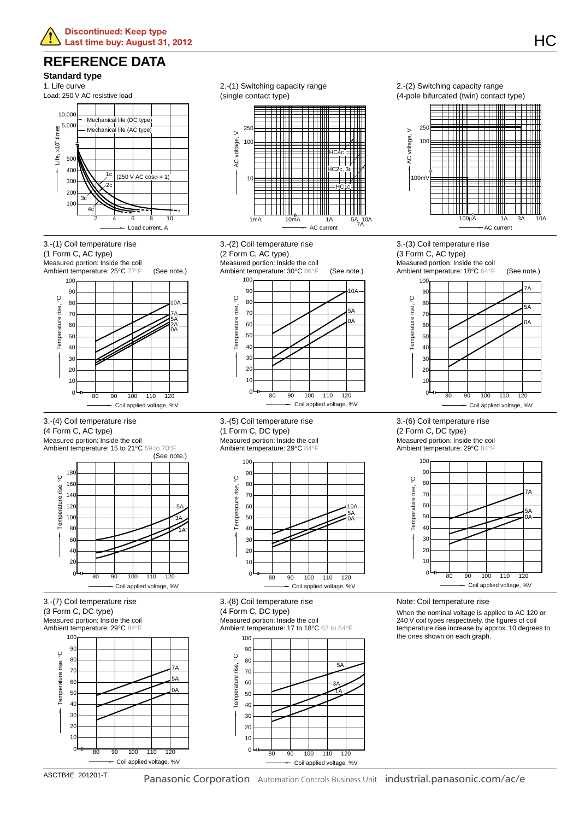### **REFERENCE DATA**

#### **Standard type**

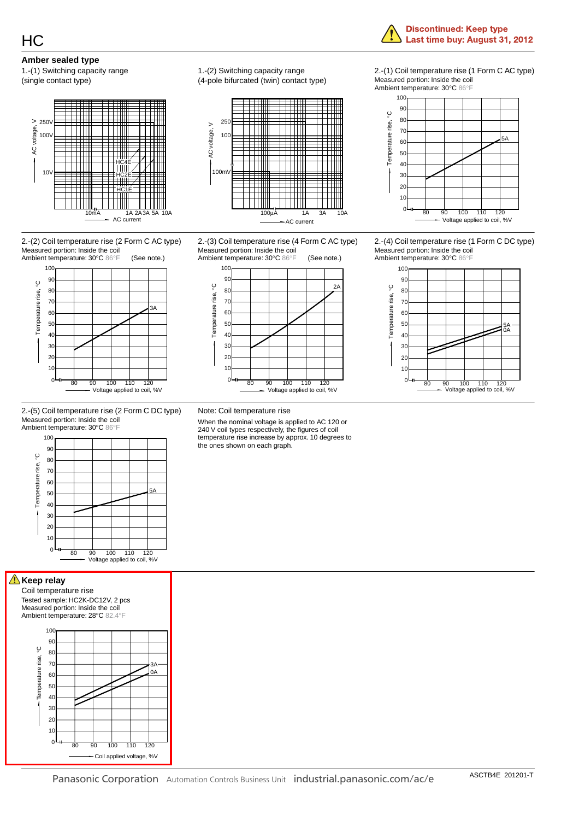#### **Amber sealed type**

1.-(1) Switching capacity range (single contact type)



2.-(2) Coil temperature rise (2 Form C AC type) Measured portion: Inside the coil Ambient temperature: 30°C 86°F



2.-(5) Coil temperature rise (2 Form C DC type) Measured portion: Inside the coil Ambient temperature: 30°C 86°F



**Keep relay** 

Coil temperature rise Tested sample: HC2K-DC12V, 2 pcs Measured portion: Inside the coil Ambient temperature: 28°C 82.4°F 90  $10$ 



1.-(2) Switching capacity range (4-pole bifurcated (twin) contact type)



2.-(3) Coil temperature rise (4 Form C AC type) Measured portion: Inside the coil



Ambient temperature: 30°C 86°F 100

Measured portion: Inside the coil



2.-(1) Coil temperature rise (1 Form C AC type)

**Discontinued: Keep type** Last time buy: August 31, 2012

2.-(4) Coil temperature rise (1 Form C DC type) Measured portion: Inside the coil



Note: Coil temperature rise

When the nominal voltage is applied to AC 120 or 240 V coil types respectively, the figures of coil temperature rise increase by approx. 10 degrees to the ones shown on each graph.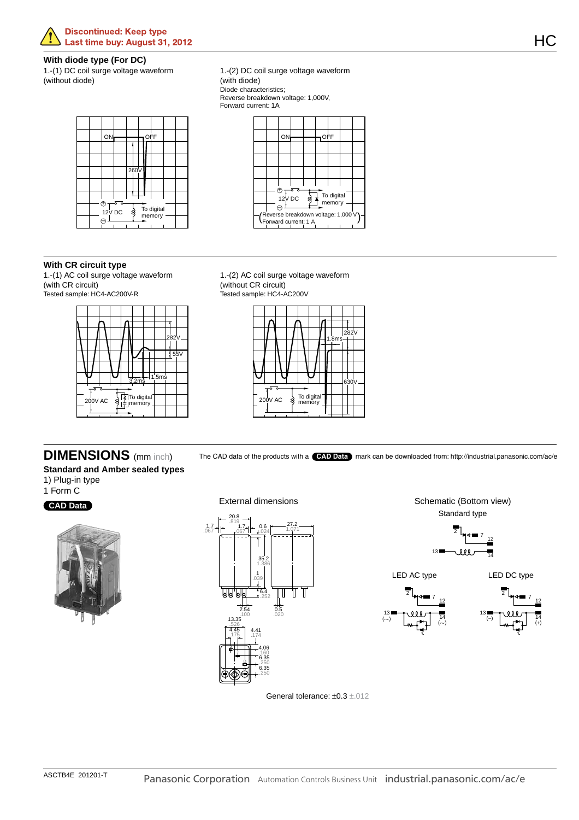#### **Discontinued: Keep type** Last time buy: August 31, 2012

#### **With diode type (For DC)**

1.-(1) DC coil surge voltage waveform (without diode)

1.-(2) DC coil surge voltage waveform (with diode) Diode characteristics; Reverse breakdown voltage: 1,000V, Forward current: 1A





**With CR circuit type** 1.-(1) AC coil surge voltage waveform (with CR circuit)

Tested sample: HC4-AC200V-R



1.-(2) AC coil surge voltage waveform (without CR circuit) Tested sample: HC4-AC200V



**DIMENSIONS** (mm inch) The CAD data of the products with a **CAD Data** mark can be downloaded from: http://industrial.panasonic.com/ac/e

**Standard and Amber sealed types** 1) Plug-in type

1 Form C





External dimensions 20.8  $1.7 - 819$ <br>.067 |  $- 1.7$ 27.2 0.6 1.071 .067 .024  $35.$ 1.386 1 .039  $\overline{\text{d}}\overline{\text{d}}$ 'Ы 6.4 U .252  $0.5$ .100 .020 13.35 .526 4.45 4.41 .175 .174 4.06 2 .160 7 6.35 12 .250 6.35  $13$   $\pi$  14 .250

Schematic (Bottom view) Standard type <sup>2</sup> <sup>7</sup> <sup>12</sup>

 $13$   $\frac{1}{14}$ 







General tolerance:  $\pm 0.3 \pm .012$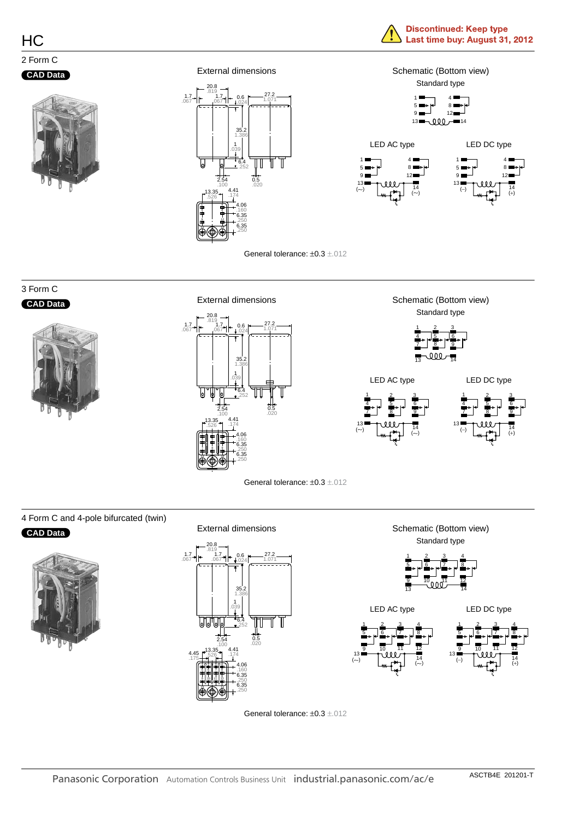#### **CAD Data**



External dimensions 20.8  $.17 - 0.819$ <br>067 -  $-0.067$ 27.2 0.6  $0.024$   $1.071$ 35.2 1.386 1 .039 6.4 Ų U Ή .252 2.54 **2.54 0.5**<br>.100 .020 4.41 1**3.35**<br>526 **.**174 .526 1 4 4.06 .160 6.35 9 12 .250 6.35 13 14 .250





#### General tolerance: ±0.3 ±.012

#### 3 Form C **CAD Data**



20.8  $\begin{array}{c} 1.7 \\ 1.7 \\ -067 \end{array}$  +  $\begin{array}{c} .819 \\ 1.7 \\ -067 \end{array}$ .067 35.2 1.386 6.4 .252 2.54 .100  $0.5$ .020 27.2  $1.071$ 0.6 .039 1 .526 **13.35 4.41**<br>.526 1.174 4.41 4.06 6.35 6.35 .160 .250 .250 13 8 H 9 14 5 HI 6 2 3

External dimensions





#### 4 Form C and 4-pole bifurcated (twin)

#### **CAD Data**





#### Schematic (Bottom view) Standard type 1 2 3 4



General tolerance: ±0.3 ±.012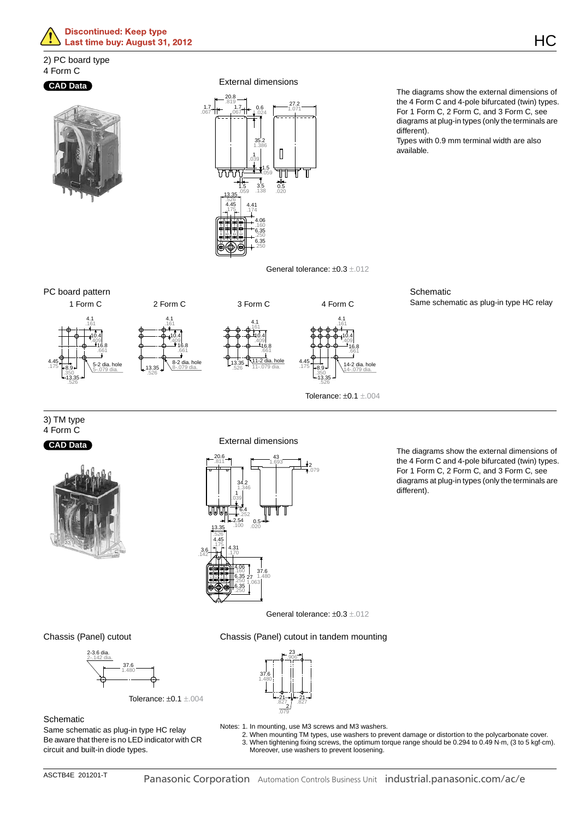

#### 2) PC board type 4 Form C

#### **CAD Data**



External dimensions



The diagrams show the external dimensions of the 4 Form C and 4-pole bifurcated (twin) types. For 1 Form C, 2 Form C, and 3 Form C, see diagrams at plug-in types (only the terminals are different).

Types with 0.9 mm terminal width are also available.



PC board pattern 1 Form C 2 Form C 3 Form C 4 Form C 13.35 .526 8.9 .350 4.45 .175 .161 4.1 10.4 .409|<br>-- 16.8 .661 5-.079 dia. 5-2 dia. hole .526 .161 4.1 10.4 .409|<br>-- 16.8 .661 8-.079 dia.  $8.2$  dia. hole .526 .161 4.1 10.4 .409|<br>**----16.8** .661 11-2 dia. hole 11-.079 dia. 13.35 .526 8.9 .350 4.45 .175 .161 4.1 10.4 .409 16.8 .661 14-.079 dia. 14-2 dia. hole Tolerance: ±0.1 ±.004 **Schematic** Same schematic as plug-in type HC relay

3) TM type 4 Form C

#### **CAD Data**



External dimensions



The diagrams show the external dimensions of the 4 Form C and 4-pole bifurcated (twin) types. For 1 Form C, 2 Form C, and 3 Form C, see diagrams at plug-in types (only the terminals are different).

General tolerance: ±0.3 ±.012

Chassis (Panel) cutout in tandem mounting

23

Chassis (Panel) cutout



Tolerance: ±0.1 ±.004



#### **Schematic**

Same schematic as plug-in type HC relay Be aware that there is no LED indicator with CR circuit and built-in diode types.

- Notes: 1. In mounting, use M3 screws and M3 washers.
	- 2. When mounting TM types, use washers to prevent damage or distortion to the polycarbonate cover. 3. When tightening fixing screws, the optimum torque range should be 0.294 to 0.49 N·m, (3 to 5 kgf·cm). Moreover, use washers to prevent loosening.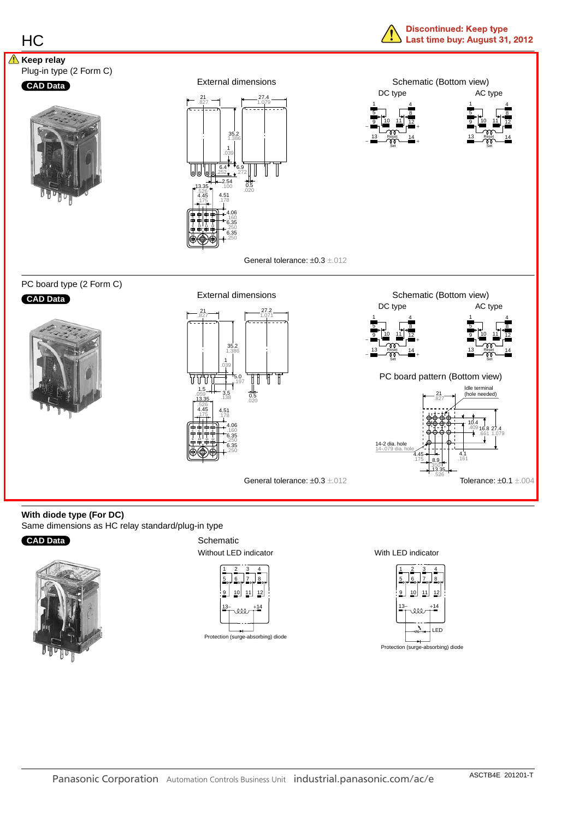

### **With diode type (For DC)**

Same dimensions as HC relay standard/plug-in type

### **CAD Data**



Schematic Without LED indicator



Protection (surge-absorbing) diode

With LED indicator

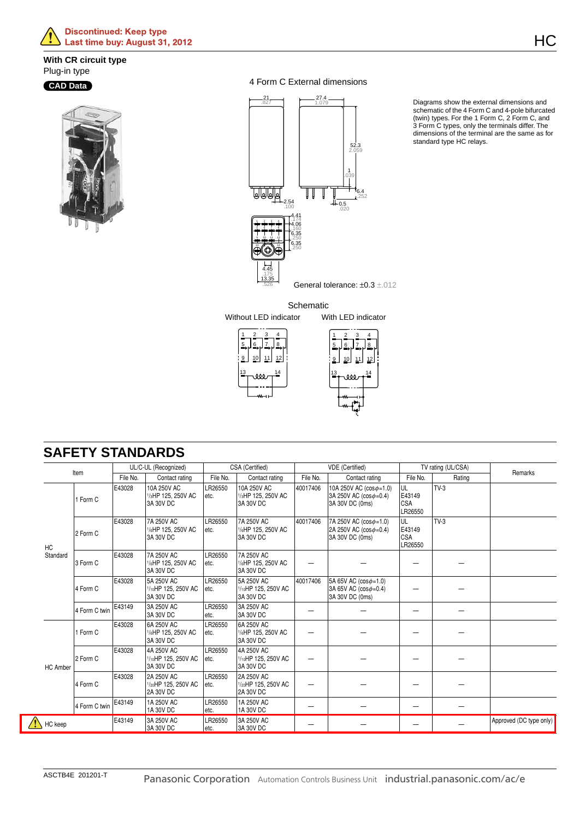#### **With CR circuit type** Plug-in type

### **CAD Data**



4 Form C External dimensions



Diagrams show the external dimensions and schematic of the 4 Form C and 4-pole bifurcated (twin) types. For the 1 Form C, 2 Form C, and 3 Form C types, only the terminals differ. The dimensions of the terminal are the same as for standard type HC relays.

**Schematic** Without LED indicator With LED indicator



|          | Item     |                 | UL/C-UL (Recognized)                                        |                                               |                                                             | CSA (Certified)                               |                                                                                  | VDE (Certified)                                                                 |                                        | TV rating (UL/CSA) |         |
|----------|----------|-----------------|-------------------------------------------------------------|-----------------------------------------------|-------------------------------------------------------------|-----------------------------------------------|----------------------------------------------------------------------------------|---------------------------------------------------------------------------------|----------------------------------------|--------------------|---------|
|          |          |                 | File No.                                                    | Contact rating                                | File No.                                                    | Contact rating                                | File No.                                                                         | Contact rating                                                                  | File No.                               | Rating             | Remarks |
|          | 1 Form C | E43028          | 10A 250V AC<br>1/ <sub>3</sub> HP 125, 250V AC<br>3A 30V DC | LR26550<br>letc.                              | 10A 250V AC<br>1/ <sub>3</sub> HP 125, 250V AC<br>3A 30V DC | 40017406                                      | 10A 250V AC $(cos \phi = 1.0)$<br>$ 3A 250V AC (cos\phi=0.4)$<br>3A 30V DC (0ms) | IUL<br>E43149<br><b>CSA</b><br>LR26550                                          | $TV-3$                                 |                    |         |
|          | HC       | 2 Form C        | E43028                                                      | 7A 250V AC<br>1/6HP 125, 250V AC<br>3A 30V DC | LR26550<br>letc.                                            | 7A 250V AC<br>1/6HP 125, 250V AC<br>3A 30V DC | 40017406                                                                         | 7A 250V AC $(cos \phi = 1.0)$<br>$ 2A 250V AC (cos\phi=0.4)$<br>3A 30V DC (0ms) | IUL<br>E43149<br><b>CSA</b><br>LR26550 | $TV-3$             |         |
| Standard | 3 Form C | E43028          | 7A 250V AC<br>1/6HP 125, 250V AC<br>3A 30V DC               | LR26550<br>letc.                              | 7A 250V AC<br>1/6HP 125, 250V AC<br>3A 30V DC               |                                               |                                                                                  |                                                                                 |                                        |                    |         |
|          |          | $4$ Form $\cap$ | E43028                                                      | 5A 250V AC<br>$1/\omega$ HP 125 250V AC Late  | LR26550                                                     | 5A 250V AC<br>$1/\omega$ HP 125 250V AC       | 40017406                                                                         | 5A 65V AC $(cos \phi = 1.0)$<br>$34.65V$ AC (cos $n-0.4V$                       |                                        |                    |         |

## **SAFETY STANDARDS**

|          | 1 Form C      | E43028 | 10A 250V AC<br>1/ <sub>3</sub> HP 125, 250V AC<br>3A 30V DC | LR26550<br>etc.  | 10A 250V AC<br>1/ <sub>3</sub> HP 125, 250V AC<br>3A 30V DC | 40017406 | 10A 250V AC ( $cos\phi = 1.0$ )<br>3A 250V AC (cos $\phi$ =0.4)<br>3A 30V DC (0ms) | IUL<br>E43149<br><b>CSA</b><br>LR26550 | TV-3   |                         |
|----------|---------------|--------|-------------------------------------------------------------|------------------|-------------------------------------------------------------|----------|------------------------------------------------------------------------------------|----------------------------------------|--------|-------------------------|
| HC       | 2 Form C      | E43028 | 7A 250V AC<br>1/6HP 125, 250V AC<br>3A 30V DC               | LR26550<br>letc. | 7A 250V AC<br>1/6HP 125, 250V AC<br>3A 30V DC               | 40017406 | 7A 250V AC (cos $\phi$ =1.0)<br>2A 250V AC (cos $\phi$ =0.4)<br>3A 30V DC (0ms)    | UL<br>E43149<br>CSA<br>LR26550         | $TV-3$ |                         |
| Standard | 3 Form C      | E43028 | 7A 250V AC<br>1/6HP 125, 250V AC<br>3A 30V DC               | LR26550<br>letc. | 7A 250V AC<br>1/6HP 125, 250V AC<br>3A 30V DC               |          |                                                                                    |                                        |        |                         |
|          | 4 Form C      | E43028 | 5A 250V AC<br>1/10HP 125, 250V AC<br>3A 30V DC              | LR26550<br>etc.  | 5A 250V AC<br>1/10HP 125, 250V AC<br>3A 30V DC              | 40017406 | 5A 65V AC $(cos \phi = 1.0)$<br>3A 65V AC ( $cos\phi = 0.4$ )<br>3A 30V DC (0ms)   |                                        |        |                         |
|          | 4 Form C twin | E43149 | 3A 250V AC<br>3A 30V DC                                     | LR26550<br>letc. | 3A 250V AC<br>3A 30V DC                                     |          |                                                                                    |                                        |        |                         |
|          | 1 Form C      | E43028 | 6A 250V AC<br>1/6HP 125, 250V AC<br>3A 30V DC               | LR26550<br>etc.  | 6A 250V AC<br>1/6HP 125, 250V AC<br>3A 30V DC               |          |                                                                                    |                                        |        |                         |
| HC Amber | 2 Form C      | E43028 | 4A 250V AC<br>1/10HP 125, 250V AC<br>3A 30V DC              | LR26550<br>etc.  | 4A 250V AC<br>1/10HP 125, 250V AC<br>3A 30V DC              |          |                                                                                    |                                        |        |                         |
|          | 4 Form C      | E43028 | 2A 250V AC<br>1/20HP 125, 250V AC<br><b>2A 30V DC</b>       | LR26550<br>etc.  | 2A 250V AC<br>1/20HP 125, 250V AC<br>2A 30V DC              |          |                                                                                    |                                        |        |                         |
|          | 4 Form C twin | E43149 | 1A 250V AC<br>1A 30V DC                                     | LR26550<br>letc. | 1A 250V AC<br>1A 30V DC                                     |          |                                                                                    |                                        |        |                         |
| HC keep  |               | E43149 | 3A 250V AC<br>3A 30V DC                                     | LR26550<br>etc.  | 3A 250V AC<br>3A 30V DC                                     |          |                                                                                    |                                        |        | Approved (DC type only) |